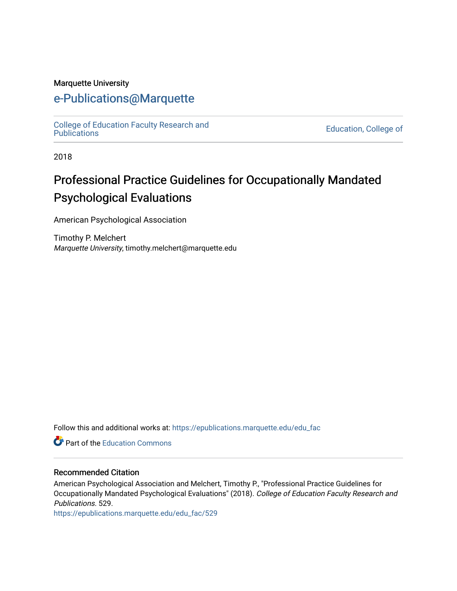#### Marquette University

# [e-Publications@Marquette](https://epublications.marquette.edu/)

College of Education Faculty Research and<br>Publications

**Education, College of** 

2018

# Professional Practice Guidelines for Occupationally Mandated Psychological Evaluations

American Psychological Association

Timothy P. Melchert Marquette University, timothy.melchert@marquette.edu

Follow this and additional works at: [https://epublications.marquette.edu/edu\\_fac](https://epublications.marquette.edu/edu_fac?utm_source=epublications.marquette.edu%2Fedu_fac%2F529&utm_medium=PDF&utm_campaign=PDFCoverPages) 

**P** Part of the [Education Commons](http://network.bepress.com/hgg/discipline/784?utm_source=epublications.marquette.edu%2Fedu_fac%2F529&utm_medium=PDF&utm_campaign=PDFCoverPages)

### Recommended Citation

American Psychological Association and Melchert, Timothy P., "Professional Practice Guidelines for Occupationally Mandated Psychological Evaluations" (2018). College of Education Faculty Research and Publications. 529.

[https://epublications.marquette.edu/edu\\_fac/529](https://epublications.marquette.edu/edu_fac/529?utm_source=epublications.marquette.edu%2Fedu_fac%2F529&utm_medium=PDF&utm_campaign=PDFCoverPages)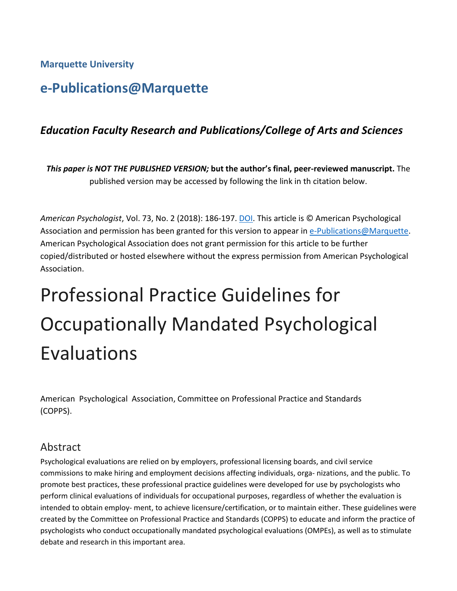# **Marquette University**

# **e-Publications@Marquette**

# *Education Faculty Research and Publications/College of Arts and Sciences*

*This paper is NOT THE PUBLISHED VERSION;* **but the author's final, peer-reviewed manuscript.** The published version may be accessed by following the link in th citation below.

*American Psychologist*, Vol. 73, No. 2 (2018): 186-197. [DOI.](http://dx.doi.org/10.1037/amp0000170) This article is © American Psychological Association and permission has been granted for this version to appear in [e-Publications@Marquette.](http://epublications.marquette.edu/) American Psychological Association does not grant permission for this article to be further copied/distributed or hosted elsewhere without the express permission from American Psychological Association.

# Professional Practice Guidelines for Occupationally Mandated Psychological Evaluations

American Psychological Association, Committee on Professional Practice and Standards (COPPS).

# Abstract

Psychological evaluations are relied on by employers, professional licensing boards, and civil service commissions to make hiring and employment decisions affecting individuals, orga- nizations, and the public. To promote best practices, these professional practice guidelines were developed for use by psychologists who perform clinical evaluations of individuals for occupational purposes, regardless of whether the evaluation is intended to obtain employ- ment, to achieve licensure/certification, or to maintain either. These guidelines were created by the Committee on Professional Practice and Standards (COPPS) to educate and inform the practice of psychologists who conduct occupationally mandated psychological evaluations (OMPEs), as well as to stimulate debate and research in this important area.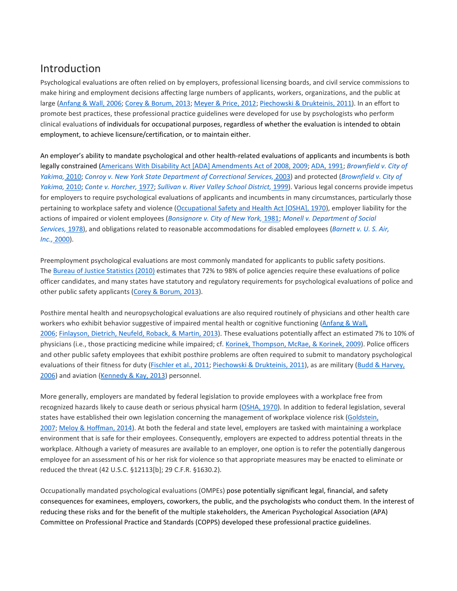# [Introduction](https://0-web-b-ebscohost-com.libus.csd.mu.edu/ehost/detail/detail?vid=2&sid=9a539f1c-8a6e-4f9c-a424-cd5738006448%40pdc-v-sessmgr01&bdata=JnNpdGU9ZWhvc3QtbGl2ZQ%3d%3d#toc)

Psychological evaluations are often relied on by employers, professional licensing boards, and civil service commissions to make hiring and employment decisions affecting large numbers of applicants, workers, organizations, and the public at large [\(Anfang](https://0-web-b-ebscohost-com.libus.csd.mu.edu/ehost/detail/detail?vid=2&sid=9a539f1c-8a6e-4f9c-a424-cd5738006448%40pdc-v-sessmgr01&bdata=JnNpdGU9ZWhvc3QtbGl2ZQ%3d%3d#c12) & Wall, 2006; Corey & [Borum,](https://0-web-b-ebscohost-com.libus.csd.mu.edu/ehost/detail/detail?vid=2&sid=9a539f1c-8a6e-4f9c-a424-cd5738006448%40pdc-v-sessmgr01&bdata=JnNpdGU9ZWhvc3QtbGl2ZQ%3d%3d#c31) 2013; [Meyer](https://0-web-b-ebscohost-com.libus.csd.mu.edu/ehost/detail/detail?vid=2&sid=9a539f1c-8a6e-4f9c-a424-cd5738006448%40pdc-v-sessmgr01&bdata=JnNpdGU9ZWhvc3QtbGl2ZQ%3d%3d#c68) & Price, 2012; [Piechowski](https://0-web-b-ebscohost-com.libus.csd.mu.edu/ehost/detail/detail?vid=2&sid=9a539f1c-8a6e-4f9c-a424-cd5738006448%40pdc-v-sessmgr01&bdata=JnNpdGU9ZWhvc3QtbGl2ZQ%3d%3d#c77) & Drukteinis, 2011). In an effort to promote best practices, these professional practice guidelines were developed for use by psychologists who perform clinical evaluations of individuals for occupational purposes, regardless of whether the evaluation is intended to obtain employment, to achieve licensure/certification, or to maintain either.

An employer's ability to mandate psychological and other health-related evaluations of applicants and incumbents is both legally constrained (Americans With Disability Act [ADA] [Amendments](https://0-web-b-ebscohost-com.libus.csd.mu.edu/ehost/detail/detail?vid=2&sid=9a539f1c-8a6e-4f9c-a424-cd5738006448%40pdc-v-sessmgr01&bdata=JnNpdGU9ZWhvc3QtbGl2ZQ%3d%3d#c9) Act of 2008, 2009; ADA, [1991;](https://0-web-b-ebscohost-com.libus.csd.mu.edu/ehost/detail/detail?vid=2&sid=9a539f1c-8a6e-4f9c-a424-cd5738006448%40pdc-v-sessmgr01&bdata=JnNpdGU9ZWhvc3QtbGl2ZQ%3d%3d#c10) *[Brownfield](https://0-web-b-ebscohost-com.libus.csd.mu.edu/ehost/detail/detail?vid=2&sid=9a539f1c-8a6e-4f9c-a424-cd5738006448%40pdc-v-sessmgr01&bdata=JnNpdGU9ZWhvc3QtbGl2ZQ%3d%3d#c17) v. City of [Yakima,](https://0-web-b-ebscohost-com.libus.csd.mu.edu/ehost/detail/detail?vid=2&sid=9a539f1c-8a6e-4f9c-a424-cd5738006448%40pdc-v-sessmgr01&bdata=JnNpdGU9ZWhvc3QtbGl2ZQ%3d%3d#c17)* 2010; *Conroy v. New York State Department of [Correctional](https://0-web-b-ebscohost-com.libus.csd.mu.edu/ehost/detail/detail?vid=2&sid=9a539f1c-8a6e-4f9c-a424-cd5738006448%40pdc-v-sessmgr01&bdata=JnNpdGU9ZWhvc3QtbGl2ZQ%3d%3d#c29) Services,* 2003) and protected (*[Brownfield](https://0-web-b-ebscohost-com.libus.csd.mu.edu/ehost/detail/detail?vid=2&sid=9a539f1c-8a6e-4f9c-a424-cd5738006448%40pdc-v-sessmgr01&bdata=JnNpdGU9ZWhvc3QtbGl2ZQ%3d%3d#c17) v. City of [Yakima,](https://0-web-b-ebscohost-com.libus.csd.mu.edu/ehost/detail/detail?vid=2&sid=9a539f1c-8a6e-4f9c-a424-cd5738006448%40pdc-v-sessmgr01&bdata=JnNpdGU9ZWhvc3QtbGl2ZQ%3d%3d#c17)* 2010; *Conte v. [Horcher,](https://0-web-b-ebscohost-com.libus.csd.mu.edu/ehost/detail/detail?vid=2&sid=9a539f1c-8a6e-4f9c-a424-cd5738006448%40pdc-v-sessmgr01&bdata=JnNpdGU9ZWhvc3QtbGl2ZQ%3d%3d#c101)* 1977; *Sullivan v. River Valley School [District,](https://0-web-b-ebscohost-com.libus.csd.mu.edu/ehost/detail/detail?vid=2&sid=9a539f1c-8a6e-4f9c-a424-cd5738006448%40pdc-v-sessmgr01&bdata=JnNpdGU9ZWhvc3QtbGl2ZQ%3d%3d#c88)* 1999). Various legal concerns provide impetus for employers to require psychological evaluations of applicants and incumbents in many circumstances, particularly those pertaining to workplace safety and violence [\(Occupational](https://0-web-b-ebscohost-com.libus.csd.mu.edu/ehost/detail/detail?vid=2&sid=9a539f1c-8a6e-4f9c-a424-cd5738006448%40pdc-v-sessmgr01&bdata=JnNpdGU9ZWhvc3QtbGl2ZQ%3d%3d#c73) Safety and Health Act [OSHA], 1970), employer liability for the actions of impaired or violent employees (*[Bonsignore](https://0-web-b-ebscohost-com.libus.csd.mu.edu/ehost/detail/detail?vid=2&sid=9a539f1c-8a6e-4f9c-a424-cd5738006448%40pdc-v-sessmgr01&bdata=JnNpdGU9ZWhvc3QtbGl2ZQ%3d%3d#c15) v. City of New York,* 1981; *Monell v. [Department](https://0-web-b-ebscohost-com.libus.csd.mu.edu/ehost/detail/detail?vid=2&sid=9a539f1c-8a6e-4f9c-a424-cd5738006448%40pdc-v-sessmgr01&bdata=JnNpdGU9ZWhvc3QtbGl2ZQ%3d%3d#c69) of Social [Services,](https://0-web-b-ebscohost-com.libus.csd.mu.edu/ehost/detail/detail?vid=2&sid=9a539f1c-8a6e-4f9c-a424-cd5738006448%40pdc-v-sessmgr01&bdata=JnNpdGU9ZWhvc3QtbGl2ZQ%3d%3d#c69)* 1978), and obligations related to reasonable accommodations for disabled employees (*[Barnett](https://0-web-b-ebscohost-com.libus.csd.mu.edu/ehost/detail/detail?vid=2&sid=9a539f1c-8a6e-4f9c-a424-cd5738006448%40pdc-v-sessmgr01&bdata=JnNpdGU9ZWhvc3QtbGl2ZQ%3d%3d#c14) v. U. S. Air, Inc.,* [2000\)](https://0-web-b-ebscohost-com.libus.csd.mu.edu/ehost/detail/detail?vid=2&sid=9a539f1c-8a6e-4f9c-a424-cd5738006448%40pdc-v-sessmgr01&bdata=JnNpdGU9ZWhvc3QtbGl2ZQ%3d%3d#c14).

Preemployment psychological evaluations are most commonly mandated for applicants to public safety positions. The Bureau of Justice [Statistics](https://0-web-b-ebscohost-com.libus.csd.mu.edu/ehost/detail/detail?vid=2&sid=9a539f1c-8a6e-4f9c-a424-cd5738006448%40pdc-v-sessmgr01&bdata=JnNpdGU9ZWhvc3QtbGl2ZQ%3d%3d#c21) (2010) estimates that 72% to 98% of police agencies require these evaluations of police officer candidates, and many states have statutory and regulatory requirements for psychological evaluations of police and other public safety applicants (Corey & [Borum,](https://0-web-b-ebscohost-com.libus.csd.mu.edu/ehost/detail/detail?vid=2&sid=9a539f1c-8a6e-4f9c-a424-cd5738006448%40pdc-v-sessmgr01&bdata=JnNpdGU9ZWhvc3QtbGl2ZQ%3d%3d#c31) 2013).

Posthire mental health and neuropsychological evaluations are also required routinely of physicians and other health care workers who exhibit behavior suggestive of impaired mental health or cognitive functioning [\(Anfang](https://0-web-b-ebscohost-com.libus.csd.mu.edu/ehost/detail/detail?vid=2&sid=9a539f1c-8a6e-4f9c-a424-cd5738006448%40pdc-v-sessmgr01&bdata=JnNpdGU9ZWhvc3QtbGl2ZQ%3d%3d#c12) & Wall, [2006;](https://0-web-b-ebscohost-com.libus.csd.mu.edu/ehost/detail/detail?vid=2&sid=9a539f1c-8a6e-4f9c-a424-cd5738006448%40pdc-v-sessmgr01&bdata=JnNpdGU9ZWhvc3QtbGl2ZQ%3d%3d#c12) [Finlayson,](https://0-web-b-ebscohost-com.libus.csd.mu.edu/ehost/detail/detail?vid=2&sid=9a539f1c-8a6e-4f9c-a424-cd5738006448%40pdc-v-sessmgr01&bdata=JnNpdGU9ZWhvc3QtbGl2ZQ%3d%3d#c46) Dietrich, Neufeld, Roback, & Martin, 2013). These evaluations potentially affect an estimated 7% to 10% of physicians (i.e., those practicing medicine while impaired; cf. Korinek, [Thompson,](https://0-web-b-ebscohost-com.libus.csd.mu.edu/ehost/detail/detail?vid=2&sid=9a539f1c-8a6e-4f9c-a424-cd5738006448%40pdc-v-sessmgr01&bdata=JnNpdGU9ZWhvc3QtbGl2ZQ%3d%3d#c62) McRae, & Korinek, 2009). Police officers and other public safety employees that exhibit posthire problems are often required to submit to mandatory psychological evaluations of their fitness for duty [\(Fischler](https://0-web-b-ebscohost-com.libus.csd.mu.edu/ehost/detail/detail?vid=2&sid=9a539f1c-8a6e-4f9c-a424-cd5738006448%40pdc-v-sessmgr01&bdata=JnNpdGU9ZWhvc3QtbGl2ZQ%3d%3d#c47) et al., 2011; [Piechowski](https://0-web-b-ebscohost-com.libus.csd.mu.edu/ehost/detail/detail?vid=2&sid=9a539f1c-8a6e-4f9c-a424-cd5738006448%40pdc-v-sessmgr01&bdata=JnNpdGU9ZWhvc3QtbGl2ZQ%3d%3d#c77) & Drukteinis, 2011), as are military (Budd & [Harvey,](https://0-web-b-ebscohost-com.libus.csd.mu.edu/ehost/detail/detail?vid=2&sid=9a539f1c-8a6e-4f9c-a424-cd5738006448%40pdc-v-sessmgr01&bdata=JnNpdGU9ZWhvc3QtbGl2ZQ%3d%3d#c20) [2006\)](https://0-web-b-ebscohost-com.libus.csd.mu.edu/ehost/detail/detail?vid=2&sid=9a539f1c-8a6e-4f9c-a424-cd5738006448%40pdc-v-sessmgr01&bdata=JnNpdGU9ZWhvc3QtbGl2ZQ%3d%3d#c20) and aviation [\(Kennedy](https://0-web-b-ebscohost-com.libus.csd.mu.edu/ehost/detail/detail?vid=2&sid=9a539f1c-8a6e-4f9c-a424-cd5738006448%40pdc-v-sessmgr01&bdata=JnNpdGU9ZWhvc3QtbGl2ZQ%3d%3d#c61) & Kay, 2013) personnel.

More generally, employers are mandated by federal legislation to provide employees with a workplace free from recognized hazards likely to cause death or serious physical harm [\(OSHA,](https://0-web-b-ebscohost-com.libus.csd.mu.edu/ehost/detail/detail?vid=2&sid=9a539f1c-8a6e-4f9c-a424-cd5738006448%40pdc-v-sessmgr01&bdata=JnNpdGU9ZWhvc3QtbGl2ZQ%3d%3d#c73) 1970). In addition to federal legislation, several states have established their own legislation concerning the management of workplace violence risk [\(Goldstein,](https://0-web-b-ebscohost-com.libus.csd.mu.edu/ehost/detail/detail?vid=2&sid=9a539f1c-8a6e-4f9c-a424-cd5738006448%40pdc-v-sessmgr01&bdata=JnNpdGU9ZWhvc3QtbGl2ZQ%3d%3d#c52) [2007;](https://0-web-b-ebscohost-com.libus.csd.mu.edu/ehost/detail/detail?vid=2&sid=9a539f1c-8a6e-4f9c-a424-cd5738006448%40pdc-v-sessmgr01&bdata=JnNpdGU9ZWhvc3QtbGl2ZQ%3d%3d#c52) Meloy & [Hoffman,](https://0-web-b-ebscohost-com.libus.csd.mu.edu/ehost/detail/detail?vid=2&sid=9a539f1c-8a6e-4f9c-a424-cd5738006448%40pdc-v-sessmgr01&bdata=JnNpdGU9ZWhvc3QtbGl2ZQ%3d%3d#c66) 2014). At both the federal and state level, employers are tasked with maintaining a workplace environment that is safe for their employees. Consequently, employers are expected to address potential threats in the workplace. Although a variety of measures are available to an employer, one option is to refer the potentially dangerous employee for an assessment of his or her risk for violence so that appropriate measures may be enacted to eliminate or reduced the threat (42 U.S.C. §12113[b]; 29 C.F.R. §1630.2).

Occupationally mandated psychological evaluations (OMPEs) pose potentially significant legal, financial, and safety consequences for examinees, employers, coworkers, the public, and the psychologists who conduct them. In the interest of reducing these risks and for the benefit of the multiple stakeholders, the American Psychological Association (APA) Committee on Professional Practice and Standards (COPPS) developed these professional practice guidelines.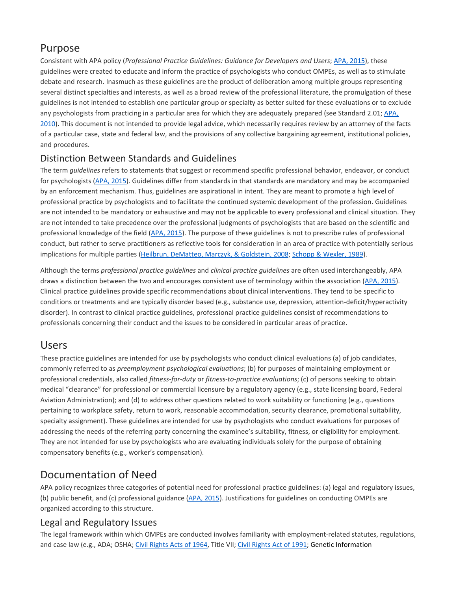# [Purpose](https://0-web-b-ebscohost-com.libus.csd.mu.edu/ehost/detail/detail?vid=2&sid=9a539f1c-8a6e-4f9c-a424-cd5738006448%40pdc-v-sessmgr01&bdata=JnNpdGU9ZWhvc3QtbGl2ZQ%3d%3d#toc)

Consistent with APA policy (*Professional Practice Guidelines: Guidance for Developers and Users*; APA, [2015\)](https://0-web-b-ebscohost-com.libus.csd.mu.edu/ehost/detail/detail?vid=2&sid=9a539f1c-8a6e-4f9c-a424-cd5738006448%40pdc-v-sessmgr01&bdata=JnNpdGU9ZWhvc3QtbGl2ZQ%3d%3d#c8), these guidelines were created to educate and inform the practice of psychologists who conduct OMPEs, as well as to stimulate debate and research. Inasmuch as these guidelines are the product of deliberation among multiple groups representing several distinct specialties and interests, as well as a broad review of the professional literature, the promulgation of these guidelines is not intended to establish one particular group or specialty as better suited for these evaluations or to exclude any psychologists from practicing in a particular area for which they are adequately prepared (see Standard 2.01; [APA,](https://0-web-b-ebscohost-com.libus.csd.mu.edu/ehost/detail/detail?vid=2&sid=9a539f1c-8a6e-4f9c-a424-cd5738006448%40pdc-v-sessmgr01&bdata=JnNpdGU9ZWhvc3QtbGl2ZQ%3d%3d#c6) [2010\)](https://0-web-b-ebscohost-com.libus.csd.mu.edu/ehost/detail/detail?vid=2&sid=9a539f1c-8a6e-4f9c-a424-cd5738006448%40pdc-v-sessmgr01&bdata=JnNpdGU9ZWhvc3QtbGl2ZQ%3d%3d#c6). This document is not intended to provide legal advice, which necessarily requires review by an attorney of the facts of a particular case, state and federal law, and the provisions of any collective bargaining agreement, institutional policies, and procedures.

# [Distinction Between Standards and Guidelines](https://0-web-b-ebscohost-com.libus.csd.mu.edu/ehost/detail/detail?vid=2&sid=9a539f1c-8a6e-4f9c-a424-cd5738006448%40pdc-v-sessmgr01&bdata=JnNpdGU9ZWhvc3QtbGl2ZQ%3d%3d#toc)

The term *guidelines* refers to statements that suggest or recommend specific professional behavior, endeavor, or conduct for psychologists (APA, [2015\)](https://0-web-b-ebscohost-com.libus.csd.mu.edu/ehost/detail/detail?vid=2&sid=9a539f1c-8a6e-4f9c-a424-cd5738006448%40pdc-v-sessmgr01&bdata=JnNpdGU9ZWhvc3QtbGl2ZQ%3d%3d#c8). Guidelines differ from standards in that standards are mandatory and may be accompanied by an enforcement mechanism. Thus, guidelines are aspirational in intent. They are meant to promote a high level of professional practice by psychologists and to facilitate the continued systemic development of the profession. Guidelines are not intended to be mandatory or exhaustive and may not be applicable to every professional and clinical situation. They are not intended to take precedence over the professional judgments of psychologists that are based on the scientific and professional knowledge of the field (APA, [2015\)](https://0-web-b-ebscohost-com.libus.csd.mu.edu/ehost/detail/detail?vid=2&sid=9a539f1c-8a6e-4f9c-a424-cd5738006448%40pdc-v-sessmgr01&bdata=JnNpdGU9ZWhvc3QtbGl2ZQ%3d%3d#c8). The purpose of these guidelines is not to prescribe rules of professional conduct, but rather to serve practitioners as reflective tools for consideration in an area of practice with potentially serious implications for multiple parties (Heilbrun, [DeMatteo,](https://0-web-b-ebscohost-com.libus.csd.mu.edu/ehost/detail/detail?vid=2&sid=9a539f1c-8a6e-4f9c-a424-cd5738006448%40pdc-v-sessmgr01&bdata=JnNpdGU9ZWhvc3QtbGl2ZQ%3d%3d#c57) Marczyk, & Goldstein, 2008; Schopp & [Wexler,](https://0-web-b-ebscohost-com.libus.csd.mu.edu/ehost/detail/detail?vid=2&sid=9a539f1c-8a6e-4f9c-a424-cd5738006448%40pdc-v-sessmgr01&bdata=JnNpdGU9ZWhvc3QtbGl2ZQ%3d%3d#c84) 1989).

Although the terms *professional practice guidelines* and *clinical practice guidelines* are often used interchangeably, APA draws a distinction between the two and encourages consistent use of terminology within the association (APA, [2015\)](https://0-web-b-ebscohost-com.libus.csd.mu.edu/ehost/detail/detail?vid=2&sid=9a539f1c-8a6e-4f9c-a424-cd5738006448%40pdc-v-sessmgr01&bdata=JnNpdGU9ZWhvc3QtbGl2ZQ%3d%3d#c8). Clinical practice guidelines provide specific recommendations about clinical interventions. They tend to be specific to conditions or treatments and are typically disorder based (e.g., substance use, depression, attention-deficit/hyperactivity disorder). In contrast to clinical practice guidelines, professional practice guidelines consist of recommendations to professionals concerning their conduct and the issues to be considered in particular areas of practice.

# [Users](https://0-web-b-ebscohost-com.libus.csd.mu.edu/ehost/detail/detail?vid=2&sid=9a539f1c-8a6e-4f9c-a424-cd5738006448%40pdc-v-sessmgr01&bdata=JnNpdGU9ZWhvc3QtbGl2ZQ%3d%3d#toc)

These practice guidelines are intended for use by psychologists who conduct clinical evaluations (a) of job candidates, commonly referred to as *preemployment psychological evaluations*; (b) for purposes of maintaining employment or professional credentials, also called *fitness-for-duty* or *fitness-to-practice evaluations*; (c) of persons seeking to obtain medical "clearance" for professional or commercial licensure by a regulatory agency (e.g., state licensing board, Federal Aviation Administration); and (d) to address other questions related to work suitability or functioning (e.g., questions pertaining to workplace safety, return to work, reasonable accommodation, security clearance, promotional suitability, specialty assignment). These guidelines are intended for use by psychologists who conduct evaluations for purposes of addressing the needs of the referring party concerning the examinee's suitability, fitness, or eligibility for employment. They are not intended for use by psychologists who are evaluating individuals solely for the purpose of obtaining compensatory benefits (e.g., worker's compensation).

# [Documentation of Need](https://0-web-b-ebscohost-com.libus.csd.mu.edu/ehost/detail/detail?vid=2&sid=9a539f1c-8a6e-4f9c-a424-cd5738006448%40pdc-v-sessmgr01&bdata=JnNpdGU9ZWhvc3QtbGl2ZQ%3d%3d#toc)

APA policy recognizes three categories of potential need for professional practice guidelines: (a) legal and regulatory issues, (b) public benefit, and (c) professional guidance (APA, [2015\)](https://0-web-b-ebscohost-com.libus.csd.mu.edu/ehost/detail/detail?vid=2&sid=9a539f1c-8a6e-4f9c-a424-cd5738006448%40pdc-v-sessmgr01&bdata=JnNpdGU9ZWhvc3QtbGl2ZQ%3d%3d#c8). Justifications for guidelines on conducting OMPEs are organized according to this structure.

# Legal and Regulatory Issues

The legal framework within which OMPEs are conducted involves familiarity with employment-related statutes, regulations, and case law (e.g., ADA; OSHA; Civil [Rights](https://0-web-b-ebscohost-com.libus.csd.mu.edu/ehost/detail/detail?vid=2&sid=9a539f1c-8a6e-4f9c-a424-cd5738006448%40pdc-v-sessmgr01&bdata=JnNpdGU9ZWhvc3QtbGl2ZQ%3d%3d#c27) Acts of 1964, Title VII; Civil Rights Act of 1991; Genetic Information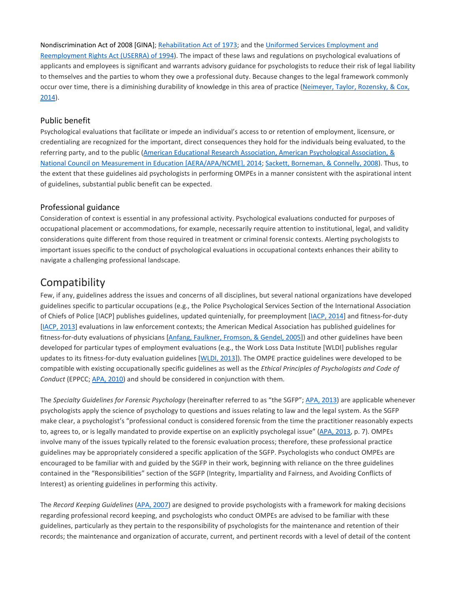Nondiscrimination Act of 2008 [GINA]; [Rehabilitation](https://0-web-b-ebscohost-com.libus.csd.mu.edu/ehost/detail/detail?vid=2&sid=9a539f1c-8a6e-4f9c-a424-cd5738006448%40pdc-v-sessmgr01&bdata=JnNpdGU9ZWhvc3QtbGl2ZQ%3d%3d#c79) Act of 1973; and the Uniformed Services [Employment](https://0-web-b-ebscohost-com.libus.csd.mu.edu/ehost/detail/detail?vid=2&sid=9a539f1c-8a6e-4f9c-a424-cd5738006448%40pdc-v-sessmgr01&bdata=JnNpdGU9ZWhvc3QtbGl2ZQ%3d%3d#c89) and [Reemployment](https://0-web-b-ebscohost-com.libus.csd.mu.edu/ehost/detail/detail?vid=2&sid=9a539f1c-8a6e-4f9c-a424-cd5738006448%40pdc-v-sessmgr01&bdata=JnNpdGU9ZWhvc3QtbGl2ZQ%3d%3d#c89) Rights Act (USERRA) of 1994). The impact of these laws and regulations on psychological evaluations of applicants and employees is significant and warrants advisory guidance for psychologists to reduce their risk of legal liability to themselves and the parties to whom they owe a professional duty. Because changes to the legal framework commonly occur over time, there is a diminishing durability of knowledge in this area of practice [\(Neimeyer,](https://0-web-b-ebscohost-com.libus.csd.mu.edu/ehost/detail/detail?vid=2&sid=9a539f1c-8a6e-4f9c-a424-cd5738006448%40pdc-v-sessmgr01&bdata=JnNpdGU9ZWhvc3QtbGl2ZQ%3d%3d#c71) Taylor, Rozensky, & Cox, [2014\)](https://0-web-b-ebscohost-com.libus.csd.mu.edu/ehost/detail/detail?vid=2&sid=9a539f1c-8a6e-4f9c-a424-cd5738006448%40pdc-v-sessmgr01&bdata=JnNpdGU9ZWhvc3QtbGl2ZQ%3d%3d#c71).

#### Public benefit

Psychological evaluations that facilitate or impede an individual's access to or retention of employment, licensure, or credentialing are recognized for the important, direct consequences they hold for the individuals being evaluated, to the referring party, and to the public (American Educational Research Association, American [Psychological](https://0-web-b-ebscohost-com.libus.csd.mu.edu/ehost/detail/detail?vid=2&sid=9a539f1c-8a6e-4f9c-a424-cd5738006448%40pdc-v-sessmgr01&bdata=JnNpdGU9ZWhvc3QtbGl2ZQ%3d%3d#c4) Association, & National Council on Measurement in Education [\[AERA/APA/NCME\],](https://0-web-b-ebscohost-com.libus.csd.mu.edu/ehost/detail/detail?vid=2&sid=9a539f1c-8a6e-4f9c-a424-cd5738006448%40pdc-v-sessmgr01&bdata=JnNpdGU9ZWhvc3QtbGl2ZQ%3d%3d#c4) 2014; Sackett, [Borneman,](https://0-web-b-ebscohost-com.libus.csd.mu.edu/ehost/detail/detail?vid=2&sid=9a539f1c-8a6e-4f9c-a424-cd5738006448%40pdc-v-sessmgr01&bdata=JnNpdGU9ZWhvc3QtbGl2ZQ%3d%3d#c82) & Connelly, 2008). Thus, to the extent that these guidelines aid psychologists in performing OMPEs in a manner consistent with the aspirational intent of guidelines, substantial public benefit can be expected.

#### Professional guidance

Consideration of context is essential in any professional activity. Psychological evaluations conducted for purposes of occupational placement or accommodations, for example, necessarily require attention to institutional, legal, and validity considerations quite different from those required in treatment or criminal forensic contexts. Alerting psychologists to important issues specific to the conduct of psychological evaluations in occupational contexts enhances their ability to navigate a challenging professional landscape.

# **[Compatibility](https://0-web-b-ebscohost-com.libus.csd.mu.edu/ehost/detail/detail?vid=2&sid=9a539f1c-8a6e-4f9c-a424-cd5738006448%40pdc-v-sessmgr01&bdata=JnNpdGU9ZWhvc3QtbGl2ZQ%3d%3d#toc)**

Few, if any, guidelines address the issues and concerns of all disciplines, but several national organizations have developed guidelines specific to particular occupations (e.g., the Police Psychological Services Section of the International Association of Chiefs of Police [IACP] publishes guidelines, updated quintenially, for preemployment [\[IACP,](https://0-web-b-ebscohost-com.libus.csd.mu.edu/ehost/detail/detail?vid=2&sid=9a539f1c-8a6e-4f9c-a424-cd5738006448%40pdc-v-sessmgr01&bdata=JnNpdGU9ZWhvc3QtbGl2ZQ%3d%3d#c60) 2014] and fitness-for-duty [\[IACP,](https://0-web-b-ebscohost-com.libus.csd.mu.edu/ehost/detail/detail?vid=2&sid=9a539f1c-8a6e-4f9c-a424-cd5738006448%40pdc-v-sessmgr01&bdata=JnNpdGU9ZWhvc3QtbGl2ZQ%3d%3d#c59) 2013] evaluations in law enforcement contexts; the American Medical Association has published guidelines for fitness-for-duty evaluations of physicians [Anfang, Faulkner, [Fromson,](https://0-web-b-ebscohost-com.libus.csd.mu.edu/ehost/detail/detail?vid=2&sid=9a539f1c-8a6e-4f9c-a424-cd5738006448%40pdc-v-sessmgr01&bdata=JnNpdGU9ZWhvc3QtbGl2ZQ%3d%3d#c11) & Gendel, 2005]) and other guidelines have been developed for particular types of employment evaluations (e.g., the Work Loss Data Institute [WLDI] publishes regular updates to its fitness-for-duty evaluation guidelines [\[WLDI,](https://0-web-b-ebscohost-com.libus.csd.mu.edu/ehost/detail/detail?vid=2&sid=9a539f1c-8a6e-4f9c-a424-cd5738006448%40pdc-v-sessmgr01&bdata=JnNpdGU9ZWhvc3QtbGl2ZQ%3d%3d#c93) 2013]). The OMPE practice guidelines were developed to be compatible with existing occupationally specific guidelines as well as the *Ethical Principles of Psychologists and Code of Conduct* (EPPCC; APA, [2010\)](https://0-web-b-ebscohost-com.libus.csd.mu.edu/ehost/detail/detail?vid=2&sid=9a539f1c-8a6e-4f9c-a424-cd5738006448%40pdc-v-sessmgr01&bdata=JnNpdGU9ZWhvc3QtbGl2ZQ%3d%3d#c6) and should be considered in conjunction with them.

The *Specialty Guidelines for Forensic Psychology* (hereinafter referred to as "the SGFP"; APA, [2013\)](https://0-web-b-ebscohost-com.libus.csd.mu.edu/ehost/detail/detail?vid=2&sid=9a539f1c-8a6e-4f9c-a424-cd5738006448%40pdc-v-sessmgr01&bdata=JnNpdGU9ZWhvc3QtbGl2ZQ%3d%3d#c7) are applicable whenever psychologists apply the science of psychology to questions and issues relating to law and the legal system. As the SGFP make clear, a psychologist's "professional conduct is considered forensic from the time the practitioner reasonably expects to, agrees to, or is legally mandated to provide expertise on an explicitly psycholegal issue" (APA, [2013,](https://0-web-b-ebscohost-com.libus.csd.mu.edu/ehost/detail/detail?vid=2&sid=9a539f1c-8a6e-4f9c-a424-cd5738006448%40pdc-v-sessmgr01&bdata=JnNpdGU9ZWhvc3QtbGl2ZQ%3d%3d#c7) p. 7). OMPEs involve many of the issues typically related to the forensic evaluation process; therefore, these professional practice guidelines may be appropriately considered a specific application of the SGFP. Psychologists who conduct OMPEs are encouraged to be familiar with and guided by the SGFP in their work, beginning with reliance on the three guidelines contained in the "Responsibilities" section of the SGFP (Integrity, Impartiality and Fairness, and Avoiding Conflicts of Interest) as orienting guidelines in performing this activity.

The *Record Keeping Guidelines* (APA, [2007\)](https://0-web-b-ebscohost-com.libus.csd.mu.edu/ehost/detail/detail?vid=2&sid=9a539f1c-8a6e-4f9c-a424-cd5738006448%40pdc-v-sessmgr01&bdata=JnNpdGU9ZWhvc3QtbGl2ZQ%3d%3d#c5) are designed to provide psychologists with a framework for making decisions regarding professional record keeping, and psychologists who conduct OMPEs are advised to be familiar with these guidelines, particularly as they pertain to the responsibility of psychologists for the maintenance and retention of their records; the maintenance and organization of accurate, current, and pertinent records with a level of detail of the content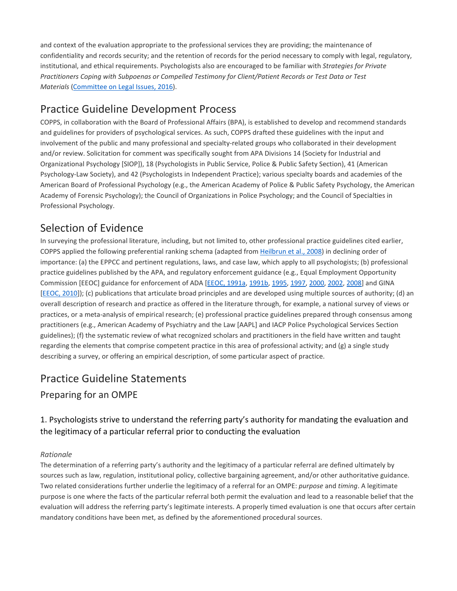and context of the evaluation appropriate to the professional services they are providing; the maintenance of confidentiality and records security; and the retention of records for the period necessary to comply with legal, regulatory, institutional, and ethical requirements. Psychologists also are encouraged to be familiar with *Strategies for Private Practitioners Coping with Subpoenas or Compelled Testimony for Client/Patient Records or Test Data or Test Materials* [\(Committee](https://0-web-b-ebscohost-com.libus.csd.mu.edu/ehost/detail/detail?vid=2&sid=9a539f1c-8a6e-4f9c-a424-cd5738006448%40pdc-v-sessmgr01&bdata=JnNpdGU9ZWhvc3QtbGl2ZQ%3d%3d#c28) on Legal Issues, 2016).

# [Practice Guideline Development Process](https://0-web-b-ebscohost-com.libus.csd.mu.edu/ehost/detail/detail?vid=2&sid=9a539f1c-8a6e-4f9c-a424-cd5738006448%40pdc-v-sessmgr01&bdata=JnNpdGU9ZWhvc3QtbGl2ZQ%3d%3d#toc)

COPPS, in collaboration with the Board of Professional Affairs (BPA), is established to develop and recommend standards and guidelines for providers of psychological services. As such, COPPS drafted these guidelines with the input and involvement of the public and many professional and specialty-related groups who collaborated in their development and/or review. Solicitation for comment was specifically sought from APA Divisions 14 (Society for Industrial and Organizational Psychology [SIOP]), 18 (Psychologists in Public Service, Police & Public Safety Section), 41 (American Psychology-Law Society), and 42 (Psychologists in Independent Practice); various specialty boards and academies of the American Board of Professional Psychology (e.g., the American Academy of Police & Public Safety Psychology, the American Academy of Forensic Psychology); the Council of Organizations in Police Psychology; and the Council of Specialties in Professional Psychology.

# [Selection of Evidence](https://0-web-b-ebscohost-com.libus.csd.mu.edu/ehost/detail/detail?vid=2&sid=9a539f1c-8a6e-4f9c-a424-cd5738006448%40pdc-v-sessmgr01&bdata=JnNpdGU9ZWhvc3QtbGl2ZQ%3d%3d#toc)

In surveying the professional literature, including, but not limited to, other professional practice guidelines cited earlier, COPPS applied the following preferential ranking schema (adapted from [Heilbrun](https://0-web-b-ebscohost-com.libus.csd.mu.edu/ehost/detail/detail?vid=2&sid=9a539f1c-8a6e-4f9c-a424-cd5738006448%40pdc-v-sessmgr01&bdata=JnNpdGU9ZWhvc3QtbGl2ZQ%3d%3d#c57) et al., 2008) in declining order of importance: (a) the EPPCC and pertinent regulations, laws, and case law, which apply to all psychologists; (b) professional practice guidelines published by the APA, and regulatory enforcement guidance (e.g., Equal Employment Opportunity Commission [EEOC] guidance for enforcement of ADA [\[EEOC,](https://0-web-b-ebscohost-com.libus.csd.mu.edu/ehost/detail/detail?vid=2&sid=9a539f1c-8a6e-4f9c-a424-cd5738006448%40pdc-v-sessmgr01&bdata=JnNpdGU9ZWhvc3QtbGl2ZQ%3d%3d#c36) 1991a, [1991b,](https://0-web-b-ebscohost-com.libus.csd.mu.edu/ehost/detail/detail?vid=2&sid=9a539f1c-8a6e-4f9c-a424-cd5738006448%40pdc-v-sessmgr01&bdata=JnNpdGU9ZWhvc3QtbGl2ZQ%3d%3d#c37) [1995,](https://0-web-b-ebscohost-com.libus.csd.mu.edu/ehost/detail/detail?vid=2&sid=9a539f1c-8a6e-4f9c-a424-cd5738006448%40pdc-v-sessmgr01&bdata=JnNpdGU9ZWhvc3QtbGl2ZQ%3d%3d#c38) [1997,](https://0-web-b-ebscohost-com.libus.csd.mu.edu/ehost/detail/detail?vid=2&sid=9a539f1c-8a6e-4f9c-a424-cd5738006448%40pdc-v-sessmgr01&bdata=JnNpdGU9ZWhvc3QtbGl2ZQ%3d%3d#c39) [2000,](https://0-web-b-ebscohost-com.libus.csd.mu.edu/ehost/detail/detail?vid=2&sid=9a539f1c-8a6e-4f9c-a424-cd5738006448%40pdc-v-sessmgr01&bdata=JnNpdGU9ZWhvc3QtbGl2ZQ%3d%3d#c40) [2002,](https://0-web-b-ebscohost-com.libus.csd.mu.edu/ehost/detail/detail?vid=2&sid=9a539f1c-8a6e-4f9c-a424-cd5738006448%40pdc-v-sessmgr01&bdata=JnNpdGU9ZWhvc3QtbGl2ZQ%3d%3d#c41) [2008\]](https://0-web-b-ebscohost-com.libus.csd.mu.edu/ehost/detail/detail?vid=2&sid=9a539f1c-8a6e-4f9c-a424-cd5738006448%40pdc-v-sessmgr01&bdata=JnNpdGU9ZWhvc3QtbGl2ZQ%3d%3d#c42) and GINA [\[EEOC,](https://0-web-b-ebscohost-com.libus.csd.mu.edu/ehost/detail/detail?vid=2&sid=9a539f1c-8a6e-4f9c-a424-cd5738006448%40pdc-v-sessmgr01&bdata=JnNpdGU9ZWhvc3QtbGl2ZQ%3d%3d#c43) 2010]); (c) publications that articulate broad principles and are developed using multiple sources of authority; (d) an overall description of research and practice as offered in the literature through, for example, a national survey of views or practices, or a meta-analysis of empirical research; (e) professional practice guidelines prepared through consensus among practitioners (e.g., American Academy of Psychiatry and the Law [AAPL] and IACP Police Psychological Services Section guidelines); (f) the systematic review of what recognized scholars and practitioners in the field have written and taught regarding the elements that comprise competent practice in this area of professional activity; and (g) a single study describing a survey, or offering an empirical description, of some particular aspect of practice.

# [Practice Guideline Statements](https://0-web-b-ebscohost-com.libus.csd.mu.edu/ehost/detail/detail?vid=2&sid=9a539f1c-8a6e-4f9c-a424-cd5738006448%40pdc-v-sessmgr01&bdata=JnNpdGU9ZWhvc3QtbGl2ZQ%3d%3d#toc)

# Preparing for an OMPE

# 1. Psychologists strive to understand the referring party's authority for mandating the evaluation and the legitimacy of a particular referral prior to conducting the evaluation

### *Rationale*

The determination of a referring party's authority and the legitimacy of a particular referral are defined ultimately by sources such as law, regulation, institutional policy, collective bargaining agreement, and/or other authoritative guidance. Two related considerations further underlie the legitimacy of a referral for an OMPE: *purpose* and *timing*. A legitimate purpose is one where the facts of the particular referral both permit the evaluation and lead to a reasonable belief that the evaluation will address the referring party's legitimate interests. A properly timed evaluation is one that occurs after certain mandatory conditions have been met, as defined by the aforementioned procedural sources.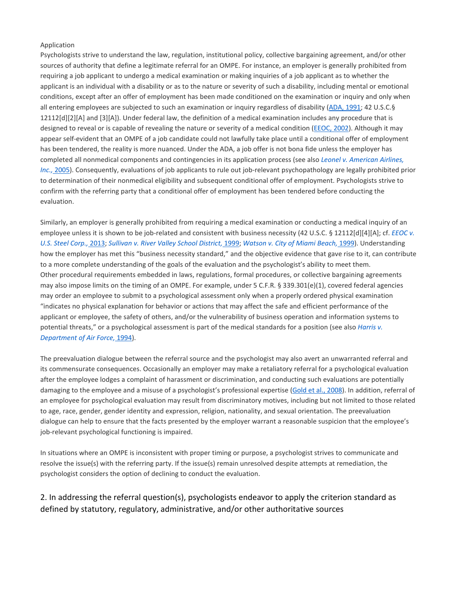Psychologists strive to understand the law, regulation, institutional policy, collective bargaining agreement, and/or other sources of authority that define a legitimate referral for an OMPE. For instance, an employer is generally prohibited from requiring a job applicant to undergo a medical examination or making inquiries of a job applicant as to whether the applicant is an individual with a disability or as to the nature or severity of such a disability, including mental or emotional conditions, except after an offer of employment has been made conditioned on the examination or inquiry and only when all entering employees are subjected to such an examination or inquiry regardless of disability (ADA, [1991;](https://0-web-b-ebscohost-com.libus.csd.mu.edu/ehost/detail/detail?vid=2&sid=9a539f1c-8a6e-4f9c-a424-cd5738006448%40pdc-v-sessmgr01&bdata=JnNpdGU9ZWhvc3QtbGl2ZQ%3d%3d#c10) 42 U.S.C.§ 12112[d][2][A] and [3][A]). Under federal law, the definition of a medical examination includes any procedure that is designed to reveal or is capable of revealing the nature or severity of a medical condition [\(EEOC,](https://0-web-b-ebscohost-com.libus.csd.mu.edu/ehost/detail/detail?vid=2&sid=9a539f1c-8a6e-4f9c-a424-cd5738006448%40pdc-v-sessmgr01&bdata=JnNpdGU9ZWhvc3QtbGl2ZQ%3d%3d#c41) 2002). Although it may appear self-evident that an OMPE of a job candidate could not lawfully take place until a conditional offer of employment has been tendered, the reality is more nuanced. Under the ADA, a job offer is not bona fide unless the employer has completed all nonmedical components and contingencies in its application process (see also *Leonel v. [American](https://0-web-b-ebscohost-com.libus.csd.mu.edu/ehost/detail/detail?vid=2&sid=9a539f1c-8a6e-4f9c-a424-cd5738006448%40pdc-v-sessmgr01&bdata=JnNpdGU9ZWhvc3QtbGl2ZQ%3d%3d#c63) Airlines, Inc.,* [2005\)](https://0-web-b-ebscohost-com.libus.csd.mu.edu/ehost/detail/detail?vid=2&sid=9a539f1c-8a6e-4f9c-a424-cd5738006448%40pdc-v-sessmgr01&bdata=JnNpdGU9ZWhvc3QtbGl2ZQ%3d%3d#c63). Consequently, evaluations of job applicants to rule out job-relevant psychopathology are legally prohibited prior to determination of their nonmedical eligibility and subsequent conditional offer of employment. Psychologists strive to confirm with the referring party that a conditional offer of employment has been tendered before conducting the evaluation.

Similarly, an employer is generally prohibited from requiring a medical examination or conducting a medical inquiry of an employee unless it is shown to be job-related and consistent with business necessity (42 U.S.C. § 12112[d][4][A]; cf. *[EEOC](https://0-web-b-ebscohost-com.libus.csd.mu.edu/ehost/detail/detail?vid=2&sid=9a539f1c-8a6e-4f9c-a424-cd5738006448%40pdc-v-sessmgr01&bdata=JnNpdGU9ZWhvc3QtbGl2ZQ%3d%3d#c95) v.* U.S. Steel [Corp.,](https://0-web-b-ebscohost-com.libus.csd.mu.edu/ehost/detail/detail?vid=2&sid=9a539f1c-8a6e-4f9c-a424-cd5738006448%40pdc-v-sessmgr01&bdata=JnNpdGU9ZWhvc3QtbGl2ZQ%3d%3d#c95) 2013; Sullivan v. River Valley School [District,](https://0-web-b-ebscohost-com.libus.csd.mu.edu/ehost/detail/detail?vid=2&sid=9a539f1c-8a6e-4f9c-a424-cd5738006448%40pdc-v-sessmgr01&bdata=JnNpdGU9ZWhvc3QtbGl2ZQ%3d%3d#c88) 1999; [Watson](https://0-web-b-ebscohost-com.libus.csd.mu.edu/ehost/detail/detail?vid=2&sid=9a539f1c-8a6e-4f9c-a424-cd5738006448%40pdc-v-sessmgr01&bdata=JnNpdGU9ZWhvc3QtbGl2ZQ%3d%3d#c91) v. City of Miami Beach, 1999). Understanding how the employer has met this "business necessity standard," and the objective evidence that gave rise to it, can contribute to a more complete understanding of the goals of the evaluation and the psychologist's ability to meet them. Other procedural requirements embedded in laws, regulations, formal procedures, or collective bargaining agreements may also impose limits on the timing of an OMPE. For example, under 5 C.F.R. § 339.301(e)(1), covered federal agencies may order an employee to submit to a psychological assessment only when a properly ordered physical examination "indicates no physical explanation for behavior or actions that may affect the safe and efficient performance of the applicant or employee, the safety of others, and/or the vulnerability of business operation and information systems to potential threats," or a psychological assessment is part of the medical standards for a position (see also *[Harris](https://0-web-b-ebscohost-com.libus.csd.mu.edu/ehost/detail/detail?vid=2&sid=9a539f1c-8a6e-4f9c-a424-cd5738006448%40pdc-v-sessmgr01&bdata=JnNpdGU9ZWhvc3QtbGl2ZQ%3d%3d#c54) v. [Department](https://0-web-b-ebscohost-com.libus.csd.mu.edu/ehost/detail/detail?vid=2&sid=9a539f1c-8a6e-4f9c-a424-cd5738006448%40pdc-v-sessmgr01&bdata=JnNpdGU9ZWhvc3QtbGl2ZQ%3d%3d#c54) of Air Force,* 1994).

The preevaluation dialogue between the referral source and the psychologist may also avert an unwarranted referral and its commensurate consequences. Occasionally an employer may make a retaliatory referral for a psychological evaluation after the employee lodges a complaint of harassment or discrimination, and conducting such evaluations are potentially damaging to the employee and a misuse of a psychologist's professional expertise (Gold et al., [2008\)](https://0-web-b-ebscohost-com.libus.csd.mu.edu/ehost/detail/detail?vid=2&sid=9a539f1c-8a6e-4f9c-a424-cd5738006448%40pdc-v-sessmgr01&bdata=JnNpdGU9ZWhvc3QtbGl2ZQ%3d%3d#c50). In addition, referral of an employee for psychological evaluation may result from discriminatory motives, including but not limited to those related to age, race, gender, gender identity and expression, religion, nationality, and sexual orientation. The preevaluation dialogue can help to ensure that the facts presented by the employer warrant a reasonable suspicion that the employee's job-relevant psychological functioning is impaired.

In situations where an OMPE is inconsistent with proper timing or purpose, a psychologist strives to communicate and resolve the issue(s) with the referring party. If the issue(s) remain unresolved despite attempts at remediation, the psychologist considers the option of declining to conduct the evaluation.

## 2. In addressing the referral question(s), psychologists endeavor to apply the criterion standard as defined by statutory, regulatory, administrative, and/or other authoritative sources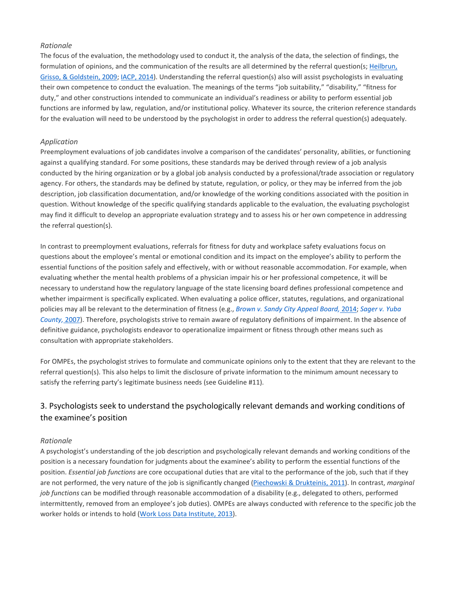#### *Rationale*

The focus of the evaluation, the methodology used to conduct it, the analysis of the data, the selection of findings, the formulation of opinions, and the communication of the results are all determined by the referral question(s; [Heilbrun,](https://0-web-b-ebscohost-com.libus.csd.mu.edu/ehost/detail/detail?vid=2&sid=9a539f1c-8a6e-4f9c-a424-cd5738006448%40pdc-v-sessmgr01&bdata=JnNpdGU9ZWhvc3QtbGl2ZQ%3d%3d#c58) Grisso, & [Goldstein,](https://0-web-b-ebscohost-com.libus.csd.mu.edu/ehost/detail/detail?vid=2&sid=9a539f1c-8a6e-4f9c-a424-cd5738006448%40pdc-v-sessmgr01&bdata=JnNpdGU9ZWhvc3QtbGl2ZQ%3d%3d#c58) 2009; IACP, [2014\)](https://0-web-b-ebscohost-com.libus.csd.mu.edu/ehost/detail/detail?vid=2&sid=9a539f1c-8a6e-4f9c-a424-cd5738006448%40pdc-v-sessmgr01&bdata=JnNpdGU9ZWhvc3QtbGl2ZQ%3d%3d#c60). Understanding the referral question(s) also will assist psychologists in evaluating their own competence to conduct the evaluation. The meanings of the terms "job suitability," "disability," "fitness for duty," and other constructions intended to communicate an individual's readiness or ability to perform essential job functions are informed by law, regulation, and/or institutional policy. Whatever its source, the criterion reference standards for the evaluation will need to be understood by the psychologist in order to address the referral question(s) adequately.

#### *Application*

Preemployment evaluations of job candidates involve a comparison of the candidates' personality, abilities, or functioning against a qualifying standard. For some positions, these standards may be derived through review of a job analysis conducted by the hiring organization or by a global job analysis conducted by a professional/trade association or regulatory agency. For others, the standards may be defined by statute, regulation, or policy, or they may be inferred from the job description, job classification documentation, and/or knowledge of the working conditions associated with the position in question. Without knowledge of the specific qualifying standards applicable to the evaluation, the evaluating psychologist may find it difficult to develop an appropriate evaluation strategy and to assess his or her own competence in addressing the referral question(s).

In contrast to preemployment evaluations, referrals for fitness for duty and workplace safety evaluations focus on questions about the employee's mental or emotional condition and its impact on the employee's ability to perform the essential functions of the position safely and effectively, with or without reasonable accommodation. For example, when evaluating whether the mental health problems of a physician impair his or her professional competence, it will be necessary to understand how the regulatory language of the state licensing board defines professional competence and whether impairment is specifically explicated. When evaluating a police officer, statutes, regulations, and organizational policies may all be relevant to the determination of fitness (e.g., *Brown v. Sandy City [Appeal](https://0-web-b-ebscohost-com.libus.csd.mu.edu/ehost/detail/detail?vid=2&sid=9a539f1c-8a6e-4f9c-a424-cd5738006448%40pdc-v-sessmgr01&bdata=JnNpdGU9ZWhvc3QtbGl2ZQ%3d%3d#c18) Board,* 2014; *[Sager](https://0-web-b-ebscohost-com.libus.csd.mu.edu/ehost/detail/detail?vid=2&sid=9a539f1c-8a6e-4f9c-a424-cd5738006448%40pdc-v-sessmgr01&bdata=JnNpdGU9ZWhvc3QtbGl2ZQ%3d%3d#c83) v. Yuba [County,](https://0-web-b-ebscohost-com.libus.csd.mu.edu/ehost/detail/detail?vid=2&sid=9a539f1c-8a6e-4f9c-a424-cd5738006448%40pdc-v-sessmgr01&bdata=JnNpdGU9ZWhvc3QtbGl2ZQ%3d%3d#c83)* 2007). Therefore, psychologists strive to remain aware of regulatory definitions of impairment. In the absence of definitive guidance, psychologists endeavor to operationalize impairment or fitness through other means such as consultation with appropriate stakeholders.

For OMPEs, the psychologist strives to formulate and communicate opinions only to the extent that they are relevant to the referral question(s). This also helps to limit the disclosure of private information to the minimum amount necessary to satisfy the referring party's legitimate business needs (see Guideline #11).

# 3. Psychologists seek to understand the psychologically relevant demands and working conditions of the examinee's position

#### *Rationale*

A psychologist's understanding of the job description and psychologically relevant demands and working conditions of the position is a necessary foundation for judgments about the examinee's ability to perform the essential functions of the position. *Essential job functions* are core occupational duties that are vital to the performance of the job, such that if they are not performed, the very nature of the job is significantly changed [\(Piechowski](https://0-web-b-ebscohost-com.libus.csd.mu.edu/ehost/detail/detail?vid=2&sid=9a539f1c-8a6e-4f9c-a424-cd5738006448%40pdc-v-sessmgr01&bdata=JnNpdGU9ZWhvc3QtbGl2ZQ%3d%3d#c77) & Drukteinis, 2011). In contrast, *marginal job functions* can be modified through reasonable accommodation of a disability (e.g., delegated to others, performed intermittently, removed from an employee's job duties). OMPEs are always conducted with reference to the specific job the worker holds or intends to hold (Work Loss Data [Institute,](https://0-web-b-ebscohost-com.libus.csd.mu.edu/ehost/detail/detail?vid=2&sid=9a539f1c-8a6e-4f9c-a424-cd5738006448%40pdc-v-sessmgr01&bdata=JnNpdGU9ZWhvc3QtbGl2ZQ%3d%3d#c93) 2013).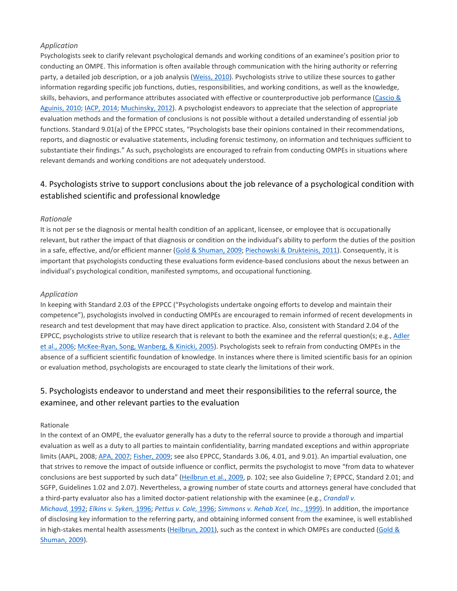Psychologists seek to clarify relevant psychological demands and working conditions of an examinee's position prior to conducting an OMPE. This information is often available through communication with the hiring authority or referring party, a detailed job description, or a job analysis [\(Weiss,](https://0-web-b-ebscohost-com.libus.csd.mu.edu/ehost/detail/detail?vid=2&sid=9a539f1c-8a6e-4f9c-a424-cd5738006448%40pdc-v-sessmgr01&bdata=JnNpdGU9ZWhvc3QtbGl2ZQ%3d%3d#c92) 2010). Psychologists strive to utilize these sources to gather information regarding specific job functions, duties, responsibilities, and working conditions, as well as the knowledge, skills, behaviors, and performance attributes associated with effective or counterproductive job performance [\(Cascio](https://0-web-b-ebscohost-com.libus.csd.mu.edu/ehost/detail/detail?vid=2&sid=9a539f1c-8a6e-4f9c-a424-cd5738006448%40pdc-v-sessmgr01&bdata=JnNpdGU9ZWhvc3QtbGl2ZQ%3d%3d#c25) & [Aguinis,](https://0-web-b-ebscohost-com.libus.csd.mu.edu/ehost/detail/detail?vid=2&sid=9a539f1c-8a6e-4f9c-a424-cd5738006448%40pdc-v-sessmgr01&bdata=JnNpdGU9ZWhvc3QtbGl2ZQ%3d%3d#c25) 2010; IACP, [2014;](https://0-web-b-ebscohost-com.libus.csd.mu.edu/ehost/detail/detail?vid=2&sid=9a539f1c-8a6e-4f9c-a424-cd5738006448%40pdc-v-sessmgr01&bdata=JnNpdGU9ZWhvc3QtbGl2ZQ%3d%3d#c60) [Muchinsky,](https://0-web-b-ebscohost-com.libus.csd.mu.edu/ehost/detail/detail?vid=2&sid=9a539f1c-8a6e-4f9c-a424-cd5738006448%40pdc-v-sessmgr01&bdata=JnNpdGU9ZWhvc3QtbGl2ZQ%3d%3d#c70) 2012). A psychologist endeavors to appreciate that the selection of appropriate evaluation methods and the formation of conclusions is not possible without a detailed understanding of essential job functions. Standard 9.01(a) of the EPPCC states, "Psychologists base their opinions contained in their recommendations, reports, and diagnostic or evaluative statements, including forensic testimony, on information and techniques sufficient to substantiate their findings." As such, psychologists are encouraged to refrain from conducting OMPEs in situations where relevant demands and working conditions are not adequately understood.

## 4. Psychologists strive to support conclusions about the job relevance of a psychological condition with established scientific and professional knowledge

#### *Rationale*

It is not per se the diagnosis or mental health condition of an applicant, licensee, or employee that is occupationally relevant, but rather the impact of that diagnosis or condition on the individual's ability to perform the duties of the position in a safe, effective, and/or efficient manner (Gold & [Shuman,](https://0-web-b-ebscohost-com.libus.csd.mu.edu/ehost/detail/detail?vid=2&sid=9a539f1c-8a6e-4f9c-a424-cd5738006448%40pdc-v-sessmgr01&bdata=JnNpdGU9ZWhvc3QtbGl2ZQ%3d%3d#c51) 2009; [Piechowski](https://0-web-b-ebscohost-com.libus.csd.mu.edu/ehost/detail/detail?vid=2&sid=9a539f1c-8a6e-4f9c-a424-cd5738006448%40pdc-v-sessmgr01&bdata=JnNpdGU9ZWhvc3QtbGl2ZQ%3d%3d#c77) & Drukteinis, 2011). Consequently, it is important that psychologists conducting these evaluations form evidence-based conclusions about the nexus between an individual's psychological condition, manifested symptoms, and occupational functioning.

#### *Application*

In keeping with Standard 2.03 of the EPPCC ("Psychologists undertake ongoing efforts to develop and maintain their competence"), psychologists involved in conducting OMPEs are encouraged to remain informed of recent developments in research and test development that may have direct application to practice. Also, consistent with Standard 2.04 of the EPPCC, psychologists strive to utilize research that is relevant to both the examinee and the referral question(s; e.g., [Adler](https://0-web-b-ebscohost-com.libus.csd.mu.edu/ehost/detail/detail?vid=2&sid=9a539f1c-8a6e-4f9c-a424-cd5738006448%40pdc-v-sessmgr01&bdata=JnNpdGU9ZWhvc3QtbGl2ZQ%3d%3d#c1) et al., [2006;](https://0-web-b-ebscohost-com.libus.csd.mu.edu/ehost/detail/detail?vid=2&sid=9a539f1c-8a6e-4f9c-a424-cd5738006448%40pdc-v-sessmgr01&bdata=JnNpdGU9ZWhvc3QtbGl2ZQ%3d%3d#c1) [McKee-Ryan,](https://0-web-b-ebscohost-com.libus.csd.mu.edu/ehost/detail/detail?vid=2&sid=9a539f1c-8a6e-4f9c-a424-cd5738006448%40pdc-v-sessmgr01&bdata=JnNpdGU9ZWhvc3QtbGl2ZQ%3d%3d#c65) Song, Wanberg, & Kinicki, 2005). Psychologists seek to refrain from conducting OMPEs in the absence of a sufficient scientific foundation of knowledge. In instances where there is limited scientific basis for an opinion or evaluation method, psychologists are encouraged to state clearly the limitations of their work.

# 5. Psychologists endeavor to understand and meet their responsibilities to the referral source, the examinee, and other relevant parties to the evaluation

#### Rationale

In the context of an OMPE, the evaluator generally has a duty to the referral source to provide a thorough and impartial evaluation as well as a duty to all parties to maintain confidentiality, barring mandated exceptions and within appropriate limits (AAPL, 2008; APA, [2007;](https://0-web-b-ebscohost-com.libus.csd.mu.edu/ehost/detail/detail?vid=2&sid=9a539f1c-8a6e-4f9c-a424-cd5738006448%40pdc-v-sessmgr01&bdata=JnNpdGU9ZWhvc3QtbGl2ZQ%3d%3d#c5) [Fisher,](https://0-web-b-ebscohost-com.libus.csd.mu.edu/ehost/detail/detail?vid=2&sid=9a539f1c-8a6e-4f9c-a424-cd5738006448%40pdc-v-sessmgr01&bdata=JnNpdGU9ZWhvc3QtbGl2ZQ%3d%3d#c48) 2009; see also EPPCC, Standards 3.06, 4.01, and 9.01). An impartial evaluation, one that strives to remove the impact of outside influence or conflict, permits the psychologist to move "from data to whatever conclusions are best supported by such data" [\(Heilbrun](https://0-web-b-ebscohost-com.libus.csd.mu.edu/ehost/detail/detail?vid=2&sid=9a539f1c-8a6e-4f9c-a424-cd5738006448%40pdc-v-sessmgr01&bdata=JnNpdGU9ZWhvc3QtbGl2ZQ%3d%3d#c58) et al., 2009, p. 102; see also Guideline 7; EPPCC, Standard 2.01; and SGFP, Guidelines 1.02 and 2.07). Nevertheless, a growing number of state courts and attorneys general have concluded that a third-party evaluator also has a limited doctor-patient relationship with the examinee (e.g., *[Crandall](https://0-web-b-ebscohost-com.libus.csd.mu.edu/ehost/detail/detail?vid=2&sid=9a539f1c-8a6e-4f9c-a424-cd5738006448%40pdc-v-sessmgr01&bdata=JnNpdGU9ZWhvc3QtbGl2ZQ%3d%3d#c32) v.*

*[Michaud,](https://0-web-b-ebscohost-com.libus.csd.mu.edu/ehost/detail/detail?vid=2&sid=9a539f1c-8a6e-4f9c-a424-cd5738006448%40pdc-v-sessmgr01&bdata=JnNpdGU9ZWhvc3QtbGl2ZQ%3d%3d#c32)* 1992; *Elkins v. [Syken,](https://0-web-b-ebscohost-com.libus.csd.mu.edu/ehost/detail/detail?vid=2&sid=9a539f1c-8a6e-4f9c-a424-cd5738006448%40pdc-v-sessmgr01&bdata=JnNpdGU9ZWhvc3QtbGl2ZQ%3d%3d#c44)* 1996; *[Pettus](https://0-web-b-ebscohost-com.libus.csd.mu.edu/ehost/detail/detail?vid=2&sid=9a539f1c-8a6e-4f9c-a424-cd5738006448%40pdc-v-sessmgr01&bdata=JnNpdGU9ZWhvc3QtbGl2ZQ%3d%3d#c76) v. Cole,* 1996; *[Simmons](https://0-web-b-ebscohost-com.libus.csd.mu.edu/ehost/detail/detail?vid=2&sid=9a539f1c-8a6e-4f9c-a424-cd5738006448%40pdc-v-sessmgr01&bdata=JnNpdGU9ZWhvc3QtbGl2ZQ%3d%3d#c85) v. Rehab Xcel, Inc.,* 1999). In addition, the importance of disclosing key information to the referring party, and obtaining informed consent from the examinee, is well established in high-stakes mental health assessments [\(Heilbrun,](https://0-web-b-ebscohost-com.libus.csd.mu.edu/ehost/detail/detail?vid=2&sid=9a539f1c-8a6e-4f9c-a424-cd5738006448%40pdc-v-sessmgr01&bdata=JnNpdGU9ZWhvc3QtbGl2ZQ%3d%3d#c56) 2001), such as the context in which OMPEs are conducted [\(Gold](https://0-web-b-ebscohost-com.libus.csd.mu.edu/ehost/detail/detail?vid=2&sid=9a539f1c-8a6e-4f9c-a424-cd5738006448%40pdc-v-sessmgr01&bdata=JnNpdGU9ZWhvc3QtbGl2ZQ%3d%3d#c51) & [Shuman,](https://0-web-b-ebscohost-com.libus.csd.mu.edu/ehost/detail/detail?vid=2&sid=9a539f1c-8a6e-4f9c-a424-cd5738006448%40pdc-v-sessmgr01&bdata=JnNpdGU9ZWhvc3QtbGl2ZQ%3d%3d#c51) 2009).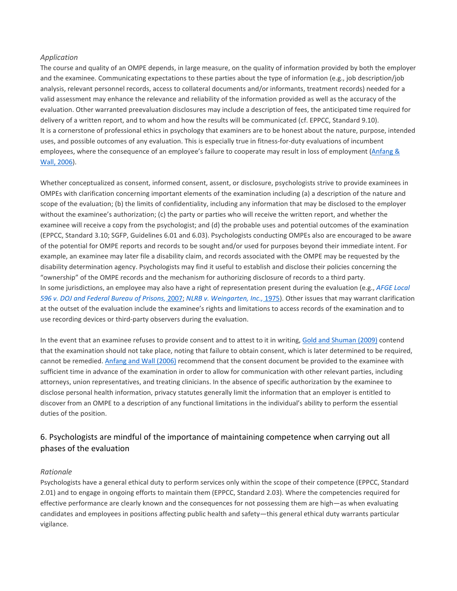The course and quality of an OMPE depends, in large measure, on the quality of information provided by both the employer and the examinee. Communicating expectations to these parties about the type of information (e.g., job description/job analysis, relevant personnel records, access to collateral documents and/or informants, treatment records) needed for a valid assessment may enhance the relevance and reliability of the information provided as well as the accuracy of the evaluation. Other warranted preevaluation disclosures may include a description of fees, the anticipated time required for delivery of a written report, and to whom and how the results will be communicated (cf. EPPCC, Standard 9.10). It is a cornerstone of professional ethics in psychology that examiners are to be honest about the nature, purpose, intended uses, and possible outcomes of any evaluation. This is especially true in fitness-for-duty evaluations of incumbent employees, where the consequence of an employee's failure to cooperate may result in loss of employment [\(Anfang](https://0-web-b-ebscohost-com.libus.csd.mu.edu/ehost/detail/detail?vid=2&sid=9a539f1c-8a6e-4f9c-a424-cd5738006448%40pdc-v-sessmgr01&bdata=JnNpdGU9ZWhvc3QtbGl2ZQ%3d%3d#c12) & Wall, [2006\)](https://0-web-b-ebscohost-com.libus.csd.mu.edu/ehost/detail/detail?vid=2&sid=9a539f1c-8a6e-4f9c-a424-cd5738006448%40pdc-v-sessmgr01&bdata=JnNpdGU9ZWhvc3QtbGl2ZQ%3d%3d#c12).

Whether conceptualized as consent, informed consent, assent, or disclosure, psychologists strive to provide examinees in OMPEs with clarification concerning important elements of the examination including (a) a description of the nature and scope of the evaluation; (b) the limits of confidentiality, including any information that may be disclosed to the employer without the examinee's authorization; (c) the party or parties who will receive the written report, and whether the examinee will receive a copy from the psychologist; and (d) the probable uses and potential outcomes of the examination (EPPCC, Standard 3.10; SGFP, Guidelines 6.01 and 6.03). Psychologists conducting OMPEs also are encouraged to be aware of the potential for OMPE reports and records to be sought and/or used for purposes beyond their immediate intent. For example, an examinee may later file a disability claim, and records associated with the OMPE may be requested by the disability determination agency. Psychologists may find it useful to establish and disclose their policies concerning the "ownership" of the OMPE records and the mechanism for authorizing disclosure of records to a third party. In some jurisdictions, an employee may also have a right of representation present during the evaluation (e.g., *[AFGE](https://0-web-b-ebscohost-com.libus.csd.mu.edu/ehost/detail/detail?vid=2&sid=9a539f1c-8a6e-4f9c-a424-cd5738006448%40pdc-v-sessmgr01&bdata=JnNpdGU9ZWhvc3QtbGl2ZQ%3d%3d#c2) Local 596 v. DOJ and Federal Bureau of [Prisons,](https://0-web-b-ebscohost-com.libus.csd.mu.edu/ehost/detail/detail?vid=2&sid=9a539f1c-8a6e-4f9c-a424-cd5738006448%40pdc-v-sessmgr01&bdata=JnNpdGU9ZWhvc3QtbGl2ZQ%3d%3d#c2)* 2007; *NLRB v. [Weingarten,](https://0-web-b-ebscohost-com.libus.csd.mu.edu/ehost/detail/detail?vid=2&sid=9a539f1c-8a6e-4f9c-a424-cd5738006448%40pdc-v-sessmgr01&bdata=JnNpdGU9ZWhvc3QtbGl2ZQ%3d%3d#c72) Inc.,* 1975). Other issues that may warrant clarification at the outset of the evaluation include the examinee's rights and limitations to access records of the examination and to use recording devices or third-party observers during the evaluation.

In the event that an examinee refuses to provide consent and to attest to it in writing, Gold and [Shuman](https://0-web-b-ebscohost-com.libus.csd.mu.edu/ehost/detail/detail?vid=2&sid=9a539f1c-8a6e-4f9c-a424-cd5738006448%40pdc-v-sessmgr01&bdata=JnNpdGU9ZWhvc3QtbGl2ZQ%3d%3d#c51) (2009) contend that the examination should not take place, noting that failure to obtain consent, which is later determined to be required, cannot be remedied. [Anfang](https://0-web-b-ebscohost-com.libus.csd.mu.edu/ehost/detail/detail?vid=2&sid=9a539f1c-8a6e-4f9c-a424-cd5738006448%40pdc-v-sessmgr01&bdata=JnNpdGU9ZWhvc3QtbGl2ZQ%3d%3d#c12) and Wall (2006) recommend that the consent document be provided to the examinee with sufficient time in advance of the examination in order to allow for communication with other relevant parties, including attorneys, union representatives, and treating clinicians. In the absence of specific authorization by the examinee to disclose personal health information, privacy statutes generally limit the information that an employer is entitled to discover from an OMPE to a description of any functional limitations in the individual's ability to perform the essential duties of the position.

### 6. Psychologists are mindful of the importance of maintaining competence when carrying out all phases of the evaluation

#### *Rationale*

Psychologists have a general ethical duty to perform services only within the scope of their competence (EPPCC, Standard 2.01) and to engage in ongoing efforts to maintain them (EPPCC, Standard 2.03). Where the competencies required for effective performance are clearly known and the consequences for not possessing them are high—as when evaluating candidates and employees in positions affecting public health and safety—this general ethical duty warrants particular vigilance.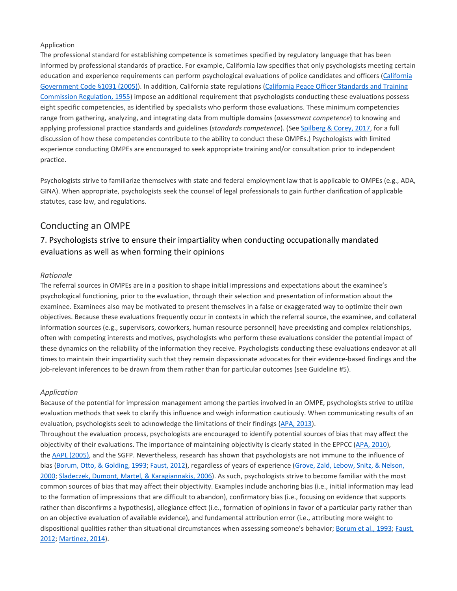The professional standard for establishing competence is sometimes specified by regulatory language that has been informed by professional standards of practice. For example, California law specifies that only psychologists meeting certain education and experience requirements can perform psychological evaluations of police candidates and officers [\(California](https://0-web-b-ebscohost-com.libus.csd.mu.edu/ehost/detail/detail?vid=2&sid=9a539f1c-8a6e-4f9c-a424-cd5738006448%40pdc-v-sessmgr01&bdata=JnNpdGU9ZWhvc3QtbGl2ZQ%3d%3d#c23) [Government](https://0-web-b-ebscohost-com.libus.csd.mu.edu/ehost/detail/detail?vid=2&sid=9a539f1c-8a6e-4f9c-a424-cd5738006448%40pdc-v-sessmgr01&bdata=JnNpdGU9ZWhvc3QtbGl2ZQ%3d%3d#c23) Code §1031 (2005)). In addition, California state regulations [\(California](https://0-web-b-ebscohost-com.libus.csd.mu.edu/ehost/detail/detail?vid=2&sid=9a539f1c-8a6e-4f9c-a424-cd5738006448%40pdc-v-sessmgr01&bdata=JnNpdGU9ZWhvc3QtbGl2ZQ%3d%3d#c24) Peace Officer Standards and Training [Commission](https://0-web-b-ebscohost-com.libus.csd.mu.edu/ehost/detail/detail?vid=2&sid=9a539f1c-8a6e-4f9c-a424-cd5738006448%40pdc-v-sessmgr01&bdata=JnNpdGU9ZWhvc3QtbGl2ZQ%3d%3d#c24) Regulation, 1955) impose an additional requirement that psychologists conducting these evaluations possess eight specific competencies, as identified by specialists who perform those evaluations. These minimum competencies range from gathering, analyzing, and integrating data from multiple domains (*assessment competence*) to knowing and applying professional practice standards and guidelines (*standards competence*). (See [Spilberg](https://0-web-b-ebscohost-com.libus.csd.mu.edu/ehost/detail/detail?vid=2&sid=9a539f1c-8a6e-4f9c-a424-cd5738006448%40pdc-v-sessmgr01&bdata=JnNpdGU9ZWhvc3QtbGl2ZQ%3d%3d#c87) & Corey, 2017, for a full discussion of how these competencies contribute to the ability to conduct these OMPEs.) Psychologists with limited experience conducting OMPEs are encouraged to seek appropriate training and/or consultation prior to independent practice.

Psychologists strive to familiarize themselves with state and federal employment law that is applicable to OMPEs (e.g., ADA, GINA). When appropriate, psychologists seek the counsel of legal professionals to gain further clarification of applicable statutes, case law, and regulations.

### Conducting an OMPE

### 7. Psychologists strive to ensure their impartiality when conducting occupationally mandated evaluations as well as when forming their opinions

#### *Rationale*

The referral sources in OMPEs are in a position to shape initial impressions and expectations about the examinee's psychological functioning, prior to the evaluation, through their selection and presentation of information about the examinee. Examinees also may be motivated to present themselves in a false or exaggerated way to optimize their own objectives. Because these evaluations frequently occur in contexts in which the referral source, the examinee, and collateral information sources (e.g., supervisors, coworkers, human resource personnel) have preexisting and complex relationships, often with competing interests and motives, psychologists who perform these evaluations consider the potential impact of these dynamics on the reliability of the information they receive. Psychologists conducting these evaluations endeavor at all times to maintain their impartiality such that they remain dispassionate advocates for their evidence-based findings and the job-relevant inferences to be drawn from them rather than for particular outcomes (see Guideline #5).

#### *Application*

Because of the potential for impression management among the parties involved in an OMPE, psychologists strive to utilize evaluation methods that seek to clarify this influence and weigh information cautiously. When communicating results of an evaluation, psychologists seek to acknowledge the limitations of their findings (APA, [2013\)](https://0-web-b-ebscohost-com.libus.csd.mu.edu/ehost/detail/detail?vid=2&sid=9a539f1c-8a6e-4f9c-a424-cd5738006448%40pdc-v-sessmgr01&bdata=JnNpdGU9ZWhvc3QtbGl2ZQ%3d%3d#c7).

Throughout the evaluation process, psychologists are encouraged to identify potential sources of bias that may affect the objectivity of their evaluations. The importance of maintaining objectivity is clearly stated in the EPPCC (APA, [2010\)](https://0-web-b-ebscohost-com.libus.csd.mu.edu/ehost/detail/detail?vid=2&sid=9a539f1c-8a6e-4f9c-a424-cd5738006448%40pdc-v-sessmgr01&bdata=JnNpdGU9ZWhvc3QtbGl2ZQ%3d%3d#c6), the AAPL [\(2005\),](https://0-web-b-ebscohost-com.libus.csd.mu.edu/ehost/detail/detail?vid=2&sid=9a539f1c-8a6e-4f9c-a424-cd5738006448%40pdc-v-sessmgr01&bdata=JnNpdGU9ZWhvc3QtbGl2ZQ%3d%3d#c3) and the SGFP. Nevertheless, research has shown that psychologists are not immune to the influence of bias (Borum, Otto, & [Golding,](https://0-web-b-ebscohost-com.libus.csd.mu.edu/ehost/detail/detail?vid=2&sid=9a539f1c-8a6e-4f9c-a424-cd5738006448%40pdc-v-sessmgr01&bdata=JnNpdGU9ZWhvc3QtbGl2ZQ%3d%3d#c16) 1993; [Faust,](https://0-web-b-ebscohost-com.libus.csd.mu.edu/ehost/detail/detail?vid=2&sid=9a539f1c-8a6e-4f9c-a424-cd5738006448%40pdc-v-sessmgr01&bdata=JnNpdGU9ZWhvc3QtbGl2ZQ%3d%3d#c45) 2012), regardless of years of experience (Grove, Zald, Lebow, Snitz, & [Nelson,](https://0-web-b-ebscohost-com.libus.csd.mu.edu/ehost/detail/detail?vid=2&sid=9a539f1c-8a6e-4f9c-a424-cd5738006448%40pdc-v-sessmgr01&bdata=JnNpdGU9ZWhvc3QtbGl2ZQ%3d%3d#c53) [2000;](https://0-web-b-ebscohost-com.libus.csd.mu.edu/ehost/detail/detail?vid=2&sid=9a539f1c-8a6e-4f9c-a424-cd5738006448%40pdc-v-sessmgr01&bdata=JnNpdGU9ZWhvc3QtbGl2ZQ%3d%3d#c53) Sladeczek, Dumont, Martel, & [Karagiannakis,](https://0-web-b-ebscohost-com.libus.csd.mu.edu/ehost/detail/detail?vid=2&sid=9a539f1c-8a6e-4f9c-a424-cd5738006448%40pdc-v-sessmgr01&bdata=JnNpdGU9ZWhvc3QtbGl2ZQ%3d%3d#c86) 2006). As such, psychologists strive to become familiar with the most common sources of bias that may affect their objectivity. Examples include anchoring bias (i.e., initial information may lead to the formation of impressions that are difficult to abandon), confirmatory bias (i.e., focusing on evidence that supports rather than disconfirms a hypothesis), allegiance effect (i.e., formation of opinions in favor of a particular party rather than on an objective evaluation of available evidence), and fundamental attribution error (i.e., attributing more weight to dispositional qualities rather than situational circumstances when assessing someone's behavior; [Borum](https://0-web-b-ebscohost-com.libus.csd.mu.edu/ehost/detail/detail?vid=2&sid=9a539f1c-8a6e-4f9c-a424-cd5738006448%40pdc-v-sessmgr01&bdata=JnNpdGU9ZWhvc3QtbGl2ZQ%3d%3d#c16) et al., 1993; [Faust,](https://0-web-b-ebscohost-com.libus.csd.mu.edu/ehost/detail/detail?vid=2&sid=9a539f1c-8a6e-4f9c-a424-cd5738006448%40pdc-v-sessmgr01&bdata=JnNpdGU9ZWhvc3QtbGl2ZQ%3d%3d#c45) [2012;](https://0-web-b-ebscohost-com.libus.csd.mu.edu/ehost/detail/detail?vid=2&sid=9a539f1c-8a6e-4f9c-a424-cd5738006448%40pdc-v-sessmgr01&bdata=JnNpdGU9ZWhvc3QtbGl2ZQ%3d%3d#c45) [Martinez,](https://0-web-b-ebscohost-com.libus.csd.mu.edu/ehost/detail/detail?vid=2&sid=9a539f1c-8a6e-4f9c-a424-cd5738006448%40pdc-v-sessmgr01&bdata=JnNpdGU9ZWhvc3QtbGl2ZQ%3d%3d#c64) 2014).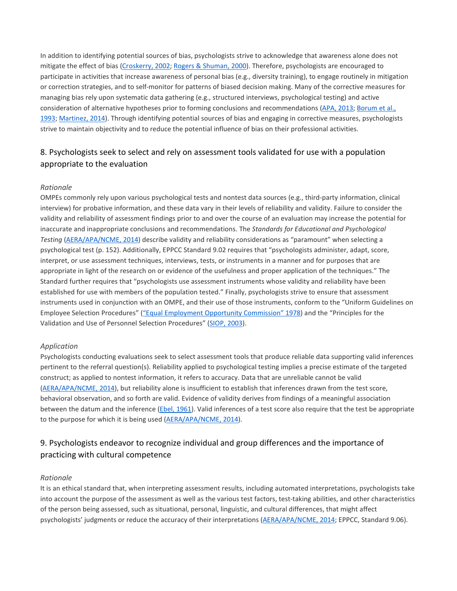In addition to identifying potential sources of bias, psychologists strive to acknowledge that awareness alone does not mitigate the effect of bias [\(Croskerry,](https://0-web-b-ebscohost-com.libus.csd.mu.edu/ehost/detail/detail?vid=2&sid=9a539f1c-8a6e-4f9c-a424-cd5738006448%40pdc-v-sessmgr01&bdata=JnNpdGU9ZWhvc3QtbGl2ZQ%3d%3d#c33) 2002; Rogers & [Shuman,](https://0-web-b-ebscohost-com.libus.csd.mu.edu/ehost/detail/detail?vid=2&sid=9a539f1c-8a6e-4f9c-a424-cd5738006448%40pdc-v-sessmgr01&bdata=JnNpdGU9ZWhvc3QtbGl2ZQ%3d%3d#c81) 2000). Therefore, psychologists are encouraged to participate in activities that increase awareness of personal bias (e.g., diversity training), to engage routinely in mitigation or correction strategies, and to self-monitor for patterns of biased decision making. Many of the corrective measures for managing bias rely upon systematic data gathering (e.g., structured interviews, psychological testing) and active consideration of alternative hypotheses prior to forming conclusions and recommendations (APA, [2013;](https://0-web-b-ebscohost-com.libus.csd.mu.edu/ehost/detail/detail?vid=2&sid=9a539f1c-8a6e-4f9c-a424-cd5738006448%40pdc-v-sessmgr01&bdata=JnNpdGU9ZWhvc3QtbGl2ZQ%3d%3d#c7) [Borum](https://0-web-b-ebscohost-com.libus.csd.mu.edu/ehost/detail/detail?vid=2&sid=9a539f1c-8a6e-4f9c-a424-cd5738006448%40pdc-v-sessmgr01&bdata=JnNpdGU9ZWhvc3QtbGl2ZQ%3d%3d#c16) et al., [1993;](https://0-web-b-ebscohost-com.libus.csd.mu.edu/ehost/detail/detail?vid=2&sid=9a539f1c-8a6e-4f9c-a424-cd5738006448%40pdc-v-sessmgr01&bdata=JnNpdGU9ZWhvc3QtbGl2ZQ%3d%3d#c16) [Martinez,](https://0-web-b-ebscohost-com.libus.csd.mu.edu/ehost/detail/detail?vid=2&sid=9a539f1c-8a6e-4f9c-a424-cd5738006448%40pdc-v-sessmgr01&bdata=JnNpdGU9ZWhvc3QtbGl2ZQ%3d%3d#c64) 2014). Through identifying potential sources of bias and engaging in corrective measures, psychologists strive to maintain objectivity and to reduce the potential influence of bias on their professional activities.

# 8. Psychologists seek to select and rely on assessment tools validated for use with a population appropriate to the evaluation

#### *Rationale*

OMPEs commonly rely upon various psychological tests and nontest data sources (e.g., third-party information, clinical interview) for probative information, and these data vary in their levels of reliability and validity. Failure to consider the validity and reliability of assessment findings prior to and over the course of an evaluation may increase the potential for inaccurate and inappropriate conclusions and recommendations. The *Standards for Educational and Psychological Testing* [\(AERA/APA/NCME,](https://0-web-b-ebscohost-com.libus.csd.mu.edu/ehost/detail/detail?vid=2&sid=9a539f1c-8a6e-4f9c-a424-cd5738006448%40pdc-v-sessmgr01&bdata=JnNpdGU9ZWhvc3QtbGl2ZQ%3d%3d#c4) 2014) describe validity and reliability considerations as "paramount" when selecting a psychological test (p. 152). Additionally, EPPCC Standard 9.02 requires that "psychologists administer, adapt, score, interpret, or use assessment techniques, interviews, tests, or instruments in a manner and for purposes that are appropriate in light of the research on or evidence of the usefulness and proper application of the techniques." The Standard further requires that "psychologists use assessment instruments whose validity and reliability have been established for use with members of the population tested." Finally, psychologists strive to ensure that assessment instruments used in conjunction with an OMPE, and their use of those instruments, conform to the "Uniform Guidelines on Employee Selection Procedures" ("Equal Employment Opportunity [Commission"](https://0-web-b-ebscohost-com.libus.csd.mu.edu/ehost/detail/detail?vid=2&sid=9a539f1c-8a6e-4f9c-a424-cd5738006448%40pdc-v-sessmgr01&bdata=JnNpdGU9ZWhvc3QtbGl2ZQ%3d%3d#c102) 1978) and the "Principles for the Validation and Use of Personnel Selection Procedures" [\(SIOP,](https://0-web-b-ebscohost-com.libus.csd.mu.edu/ehost/detail/detail?vid=2&sid=9a539f1c-8a6e-4f9c-a424-cd5738006448%40pdc-v-sessmgr01&bdata=JnNpdGU9ZWhvc3QtbGl2ZQ%3d%3d#c103) 2003).

#### *Application*

Psychologists conducting evaluations seek to select assessment tools that produce reliable data supporting valid inferences pertinent to the referral question(s). Reliability applied to psychological testing implies a precise estimate of the targeted construct; as applied to nontest information, it refers to accuracy. Data that are unreliable cannot be valid [\(AERA/APA/NCME,](https://0-web-b-ebscohost-com.libus.csd.mu.edu/ehost/detail/detail?vid=2&sid=9a539f1c-8a6e-4f9c-a424-cd5738006448%40pdc-v-sessmgr01&bdata=JnNpdGU9ZWhvc3QtbGl2ZQ%3d%3d#c4) 2014), but reliability alone is insufficient to establish that inferences drawn from the test score, behavioral observation, and so forth are valid. Evidence of validity derives from findings of a meaningful association between the datum and the inference (Ebel, [1961\)](https://0-web-b-ebscohost-com.libus.csd.mu.edu/ehost/detail/detail?vid=2&sid=9a539f1c-8a6e-4f9c-a424-cd5738006448%40pdc-v-sessmgr01&bdata=JnNpdGU9ZWhvc3QtbGl2ZQ%3d%3d#c35). Valid inferences of a test score also require that the test be appropriate to the purpose for which it is being used [\(AERA/APA/NCME,](https://0-web-b-ebscohost-com.libus.csd.mu.edu/ehost/detail/detail?vid=2&sid=9a539f1c-8a6e-4f9c-a424-cd5738006448%40pdc-v-sessmgr01&bdata=JnNpdGU9ZWhvc3QtbGl2ZQ%3d%3d#c4) 2014).

### 9. Psychologists endeavor to recognize individual and group differences and the importance of practicing with cultural competence

#### *Rationale*

It is an ethical standard that, when interpreting assessment results, including automated interpretations, psychologists take into account the purpose of the assessment as well as the various test factors, test-taking abilities, and other characteristics of the person being assessed, such as situational, personal, linguistic, and cultural differences, that might affect psychologists' judgments or reduce the accuracy of their interpretations [\(AERA/APA/NCME,](https://0-web-b-ebscohost-com.libus.csd.mu.edu/ehost/detail/detail?vid=2&sid=9a539f1c-8a6e-4f9c-a424-cd5738006448%40pdc-v-sessmgr01&bdata=JnNpdGU9ZWhvc3QtbGl2ZQ%3d%3d#c4) 2014; EPPCC, Standard 9.06).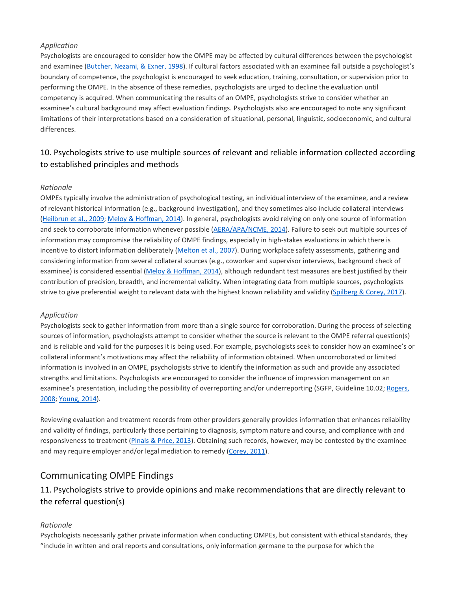Psychologists are encouraged to consider how the OMPE may be affected by cultural differences between the psychologist and examinee [\(Butcher,](https://0-web-b-ebscohost-com.libus.csd.mu.edu/ehost/detail/detail?vid=2&sid=9a539f1c-8a6e-4f9c-a424-cd5738006448%40pdc-v-sessmgr01&bdata=JnNpdGU9ZWhvc3QtbGl2ZQ%3d%3d#c22) Nezami, & Exner, 1998). If cultural factors associated with an examinee fall outside a psychologist's boundary of competence, the psychologist is encouraged to seek education, training, consultation, or supervision prior to performing the OMPE. In the absence of these remedies, psychologists are urged to decline the evaluation until competency is acquired. When communicating the results of an OMPE, psychologists strive to consider whether an examinee's cultural background may affect evaluation findings. Psychologists also are encouraged to note any significant limitations of their interpretations based on a consideration of situational, personal, linguistic, socioeconomic, and cultural differences.

# 10. Psychologists strive to use multiple sources of relevant and reliable information collected according to established principles and methods

#### *Rationale*

OMPEs typically involve the administration of psychological testing, an individual interview of the examinee, and a review of relevant historical information (e.g., background investigation), and they sometimes also include collateral interviews [\(Heilbrun](https://0-web-b-ebscohost-com.libus.csd.mu.edu/ehost/detail/detail?vid=2&sid=9a539f1c-8a6e-4f9c-a424-cd5738006448%40pdc-v-sessmgr01&bdata=JnNpdGU9ZWhvc3QtbGl2ZQ%3d%3d#c58) et al., 2009; Meloy & [Hoffman,](https://0-web-b-ebscohost-com.libus.csd.mu.edu/ehost/detail/detail?vid=2&sid=9a539f1c-8a6e-4f9c-a424-cd5738006448%40pdc-v-sessmgr01&bdata=JnNpdGU9ZWhvc3QtbGl2ZQ%3d%3d#c66) 2014). In general, psychologists avoid relying on only one source of information and seek to corroborate information whenever possible [\(AERA/APA/NCME,](https://0-web-b-ebscohost-com.libus.csd.mu.edu/ehost/detail/detail?vid=2&sid=9a539f1c-8a6e-4f9c-a424-cd5738006448%40pdc-v-sessmgr01&bdata=JnNpdGU9ZWhvc3QtbGl2ZQ%3d%3d#c4) 2014). Failure to seek out multiple sources of information may compromise the reliability of OMPE findings, especially in high-stakes evaluations in which there is incentive to distort information deliberately [\(Melton](https://0-web-b-ebscohost-com.libus.csd.mu.edu/ehost/detail/detail?vid=2&sid=9a539f1c-8a6e-4f9c-a424-cd5738006448%40pdc-v-sessmgr01&bdata=JnNpdGU9ZWhvc3QtbGl2ZQ%3d%3d#c67) et al., 2007). During workplace safety assessments, gathering and considering information from several collateral sources (e.g., coworker and supervisor interviews, background check of examinee) is considered essential (Meloy & [Hoffman,](https://0-web-b-ebscohost-com.libus.csd.mu.edu/ehost/detail/detail?vid=2&sid=9a539f1c-8a6e-4f9c-a424-cd5738006448%40pdc-v-sessmgr01&bdata=JnNpdGU9ZWhvc3QtbGl2ZQ%3d%3d#c66) 2014), although redundant test measures are best justified by their contribution of precision, breadth, and incremental validity. When integrating data from multiple sources, psychologists strive to give preferential weight to relevant data with the highest known reliability and validity [\(Spilberg](https://0-web-b-ebscohost-com.libus.csd.mu.edu/ehost/detail/detail?vid=2&sid=9a539f1c-8a6e-4f9c-a424-cd5738006448%40pdc-v-sessmgr01&bdata=JnNpdGU9ZWhvc3QtbGl2ZQ%3d%3d#c87) & Corey, 2017).

#### *Application*

Psychologists seek to gather information from more than a single source for corroboration. During the process of selecting sources of information, psychologists attempt to consider whether the source is relevant to the OMPE referral question(s) and is reliable and valid for the purposes it is being used. For example, psychologists seek to consider how an examinee's or collateral informant's motivations may affect the reliability of information obtained. When uncorroborated or limited information is involved in an OMPE, psychologists strive to identify the information as such and provide any associated strengths and limitations. Psychologists are encouraged to consider the influence of impression management on an examinee's presentation, including the possibility of overreporting and/or underreporting (SGFP, Guideline 10.02; [Rogers,](https://0-web-b-ebscohost-com.libus.csd.mu.edu/ehost/detail/detail?vid=2&sid=9a539f1c-8a6e-4f9c-a424-cd5738006448%40pdc-v-sessmgr01&bdata=JnNpdGU9ZWhvc3QtbGl2ZQ%3d%3d#c80) [2008;](https://0-web-b-ebscohost-com.libus.csd.mu.edu/ehost/detail/detail?vid=2&sid=9a539f1c-8a6e-4f9c-a424-cd5738006448%40pdc-v-sessmgr01&bdata=JnNpdGU9ZWhvc3QtbGl2ZQ%3d%3d#c80) [Young,](https://0-web-b-ebscohost-com.libus.csd.mu.edu/ehost/detail/detail?vid=2&sid=9a539f1c-8a6e-4f9c-a424-cd5738006448%40pdc-v-sessmgr01&bdata=JnNpdGU9ZWhvc3QtbGl2ZQ%3d%3d#c94) 2014).

Reviewing evaluation and treatment records from other providers generally provides information that enhances reliability and validity of findings, particularly those pertaining to diagnosis, symptom nature and course, and compliance with and responsiveness to treatment [\(Pinals](https://0-web-b-ebscohost-com.libus.csd.mu.edu/ehost/detail/detail?vid=2&sid=9a539f1c-8a6e-4f9c-a424-cd5738006448%40pdc-v-sessmgr01&bdata=JnNpdGU9ZWhvc3QtbGl2ZQ%3d%3d#c78) & Price, 2013). Obtaining such records, however, may be contested by the examinee and may require employer and/or legal mediation to remedy [\(Corey,](https://0-web-b-ebscohost-com.libus.csd.mu.edu/ehost/detail/detail?vid=2&sid=9a539f1c-8a6e-4f9c-a424-cd5738006448%40pdc-v-sessmgr01&bdata=JnNpdGU9ZWhvc3QtbGl2ZQ%3d%3d#c30) 2011).

### Communicating OMPE Findings

# 11. Psychologists strive to provide opinions and make recommendations that are directly relevant to the referral question(s)

#### *Rationale*

Psychologists necessarily gather private information when conducting OMPEs, but consistent with ethical standards, they "include in written and oral reports and consultations, only information germane to the purpose for which the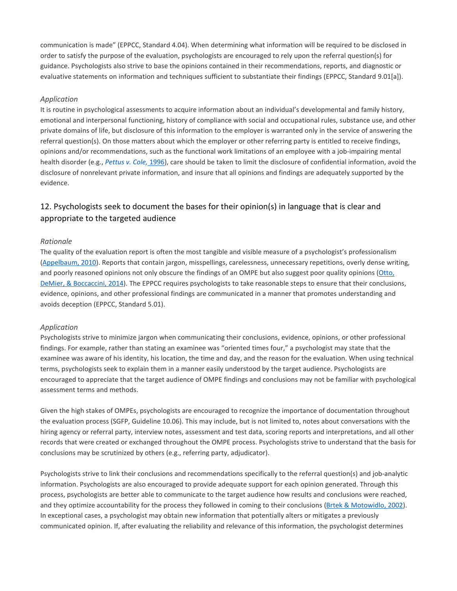communication is made" (EPPCC, Standard 4.04). When determining what information will be required to be disclosed in order to satisfy the purpose of the evaluation, psychologists are encouraged to rely upon the referral question(s) for guidance. Psychologists also strive to base the opinions contained in their recommendations, reports, and diagnostic or evaluative statements on information and techniques sufficient to substantiate their findings (EPPCC, Standard 9.01[a]).

#### *Application*

It is routine in psychological assessments to acquire information about an individual's developmental and family history, emotional and interpersonal functioning, history of compliance with social and occupational rules, substance use, and other private domains of life, but disclosure of this information to the employer is warranted only in the service of answering the referral question(s). On those matters about which the employer or other referring party is entitled to receive findings, opinions and/or recommendations, such as the functional work limitations of an employee with a job-impairing mental health disorder (e.g., *[Pettus](https://0-web-b-ebscohost-com.libus.csd.mu.edu/ehost/detail/detail?vid=2&sid=9a539f1c-8a6e-4f9c-a424-cd5738006448%40pdc-v-sessmgr01&bdata=JnNpdGU9ZWhvc3QtbGl2ZQ%3d%3d#c76) v. Cole,* 1996), care should be taken to limit the disclosure of confidential information, avoid the disclosure of nonrelevant private information, and insure that all opinions and findings are adequately supported by the evidence.

### 12. Psychologists seek to document the bases for their opinion(s) in language that is clear and appropriate to the targeted audience

#### *Rationale*

The quality of the evaluation report is often the most tangible and visible measure of a psychologist's professionalism [\(Appelbaum,](https://0-web-b-ebscohost-com.libus.csd.mu.edu/ehost/detail/detail?vid=2&sid=9a539f1c-8a6e-4f9c-a424-cd5738006448%40pdc-v-sessmgr01&bdata=JnNpdGU9ZWhvc3QtbGl2ZQ%3d%3d#c13) 2010). Reports that contain jargon, misspellings, carelessness, unnecessary repetitions, overly dense writing, and poorly reasoned opinions not only obscure the findings of an OMPE but also suggest poor quality opinions [\(Otto,](https://0-web-b-ebscohost-com.libus.csd.mu.edu/ehost/detail/detail?vid=2&sid=9a539f1c-8a6e-4f9c-a424-cd5738006448%40pdc-v-sessmgr01&bdata=JnNpdGU9ZWhvc3QtbGl2ZQ%3d%3d#c74) DeMier, & [Boccaccini,](https://0-web-b-ebscohost-com.libus.csd.mu.edu/ehost/detail/detail?vid=2&sid=9a539f1c-8a6e-4f9c-a424-cd5738006448%40pdc-v-sessmgr01&bdata=JnNpdGU9ZWhvc3QtbGl2ZQ%3d%3d#c74) 2014). The EPPCC requires psychologists to take reasonable steps to ensure that their conclusions, evidence, opinions, and other professional findings are communicated in a manner that promotes understanding and avoids deception (EPPCC, Standard 5.01).

#### *Application*

Psychologists strive to minimize jargon when communicating their conclusions, evidence, opinions, or other professional findings. For example, rather than stating an examinee was "oriented times four," a psychologist may state that the examinee was aware of his identity, his location, the time and day, and the reason for the evaluation. When using technical terms, psychologists seek to explain them in a manner easily understood by the target audience. Psychologists are encouraged to appreciate that the target audience of OMPE findings and conclusions may not be familiar with psychological assessment terms and methods.

Given the high stakes of OMPEs, psychologists are encouraged to recognize the importance of documentation throughout the evaluation process (SGFP, Guideline 10.06). This may include, but is not limited to, notes about conversations with the hiring agency or referral party, interview notes, assessment and test data, scoring reports and interpretations, and all other records that were created or exchanged throughout the OMPE process. Psychologists strive to understand that the basis for conclusions may be scrutinized by others (e.g., referring party, adjudicator).

Psychologists strive to link their conclusions and recommendations specifically to the referral question(s) and job-analytic information. Psychologists are also encouraged to provide adequate support for each opinion generated. Through this process, psychologists are better able to communicate to the target audience how results and conclusions were reached, and they optimize accountability for the process they followed in coming to their conclusions (Brtek & [Motowidlo,](https://0-web-b-ebscohost-com.libus.csd.mu.edu/ehost/detail/detail?vid=2&sid=9a539f1c-8a6e-4f9c-a424-cd5738006448%40pdc-v-sessmgr01&bdata=JnNpdGU9ZWhvc3QtbGl2ZQ%3d%3d#c19) 2002). In exceptional cases, a psychologist may obtain new information that potentially alters or mitigates a previously communicated opinion. If, after evaluating the reliability and relevance of this information, the psychologist determines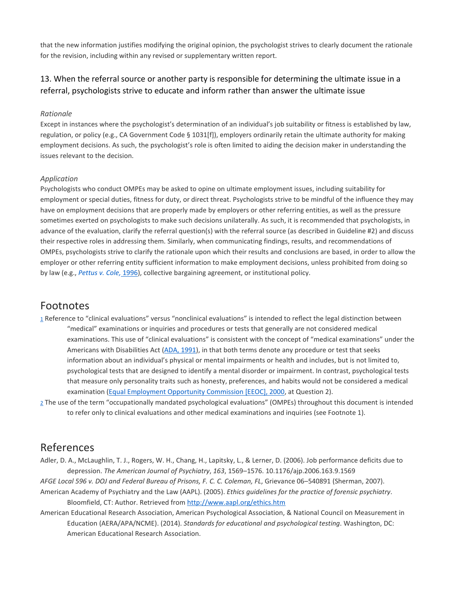that the new information justifies modifying the original opinion, the psychologist strives to clearly document the rationale for the revision, including within any revised or supplementary written report.

## 13. When the referral source or another party is responsible for determining the ultimate issue in a referral, psychologists strive to educate and inform rather than answer the ultimate issue

#### *Rationale*

Except in instances where the psychologist's determination of an individual's job suitability or fitness is established by law, regulation, or policy (e.g., CA Government Code § 1031[f]), employers ordinarily retain the ultimate authority for making employment decisions. As such, the psychologist's role is often limited to aiding the decision maker in understanding the issues relevant to the decision.

#### *Application*

Psychologists who conduct OMPEs may be asked to opine on ultimate employment issues, including suitability for employment or special duties, fitness for duty, or direct threat. Psychologists strive to be mindful of the influence they may have on employment decisions that are properly made by employers or other referring entities, as well as the pressure sometimes exerted on psychologists to make such decisions unilaterally. As such, it is recommended that psychologists, in advance of the evaluation, clarify the referral question(s) with the referral source (as described in Guideline #2) and discuss their respective roles in addressing them. Similarly, when communicating findings, results, and recommendations of OMPEs, psychologists strive to clarify the rationale upon which their results and conclusions are based, in order to allow the employer or other referring entity sufficient information to make employment decisions, unless prohibited from doing so by law (e.g., *[Pettus](https://0-web-b-ebscohost-com.libus.csd.mu.edu/ehost/detail/detail?vid=2&sid=9a539f1c-8a6e-4f9c-a424-cd5738006448%40pdc-v-sessmgr01&bdata=JnNpdGU9ZWhvc3QtbGl2ZQ%3d%3d#c76) v. Cole,* 1996), collective bargaining agreement, or institutional policy.

### [Footnotes](https://0-web-b-ebscohost-com.libus.csd.mu.edu/ehost/detail/detail?vid=2&sid=9a539f1c-8a6e-4f9c-a424-cd5738006448%40pdc-v-sessmgr01&bdata=JnNpdGU9ZWhvc3QtbGl2ZQ%3d%3d#toc)

- [1](https://0-web-b-ebscohost-com.libus.csd.mu.edu/ehost/detail/detail?vid=2&sid=9a539f1c-8a6e-4f9c-a424-cd5738006448%40pdc-v-sessmgr01&bdata=JnNpdGU9ZWhvc3QtbGl2ZQ%3d%3d#b-fn1) Reference to "clinical evaluations" versus "nonclinical evaluations" is intended to reflect the legal distinction between "medical" examinations or inquiries and procedures or tests that generally are not considered medical examinations. This use of "clinical evaluations" is consistent with the concept of "medical examinations" under the Americans with Disabilities Act (ADA, [1991\)](https://0-web-b-ebscohost-com.libus.csd.mu.edu/ehost/detail/detail?vid=2&sid=9a539f1c-8a6e-4f9c-a424-cd5738006448%40pdc-v-sessmgr01&bdata=JnNpdGU9ZWhvc3QtbGl2ZQ%3d%3d#c10), in that both terms denote any procedure or test that seeks information about an individual's physical or mental impairments or health and includes, but is not limited to, psychological tests that are designed to identify a mental disorder or impairment. In contrast, psychological tests that measure only personality traits such as honesty, preferences, and habits would not be considered a medical examination (Equal [Employment](https://0-web-b-ebscohost-com.libus.csd.mu.edu/ehost/detail/detail?vid=2&sid=9a539f1c-8a6e-4f9c-a424-cd5738006448%40pdc-v-sessmgr01&bdata=JnNpdGU9ZWhvc3QtbGl2ZQ%3d%3d#c40) Opportunity Commission [EEOC], 2000, at Question 2).
- [2](https://0-web-b-ebscohost-com.libus.csd.mu.edu/ehost/detail/detail?vid=2&sid=9a539f1c-8a6e-4f9c-a424-cd5738006448%40pdc-v-sessmgr01&bdata=JnNpdGU9ZWhvc3QtbGl2ZQ%3d%3d#b-fn2) The use of the term "occupationally mandated psychological evaluations" (OMPEs) throughout this document is intended to refer only to clinical evaluations and other medical examinations and inquiries (see Footnote 1).

# [References](https://0-web-b-ebscohost-com.libus.csd.mu.edu/ehost/detail/detail?vid=2&sid=9a539f1c-8a6e-4f9c-a424-cd5738006448%40pdc-v-sessmgr01&bdata=JnNpdGU9ZWhvc3QtbGl2ZQ%3d%3d#toc)

Adler, D. A., McLaughlin, T. J., Rogers, W. H., Chang, H., Lapitsky, L., & Lerner, D. (2006). Job performance deficits due to depression. *The American Journal of Psychiatry*, *163*, 1569–1576. 10.1176/ajp.2006.163.9.1569

*AFGE Local 596 v. DOJ and Federal Bureau of Prisons, F. C. C. Coleman, FL*, Grievance 06–540891 (Sherman, 2007).

- American Academy of Psychiatry and the Law (AAPL). (2005). *Ethics guidelines for the practice of forensic psychiatry*. Bloomfield, CT: Author. Retrieved from <http://www.aapl.org/ethics.htm>
- American Educational Research Association, American Psychological Association, & National Council on Measurement in Education (AERA/APA/NCME). (2014). *Standards for educational and psychological testing*. Washington, DC: American Educational Research Association.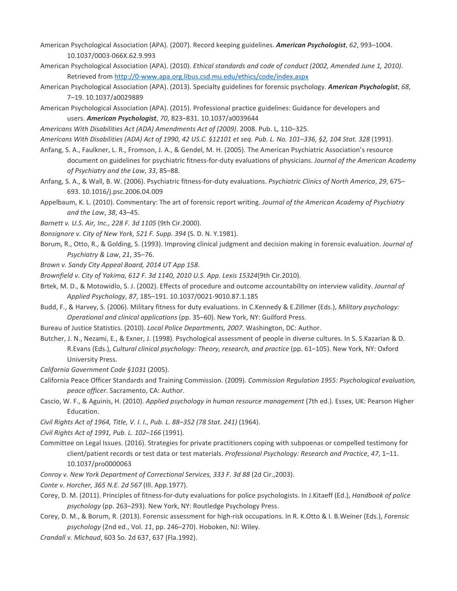American Psychological Association (APA). (2007). Record keeping guidelines. *American Psychologist*, *62*, 993–1004. 10.1037/0003-066X.62.9.993

- American Psychological Association (APA). (2010). *Ethical standards and code of conduct (2002, Amended June 1, 2010)*. Retrieved from <http://0-www.apa.org.libus.csd.mu.edu/ethics/code/index.aspx>
- American Psychological Association (APA). (2013). Specialty guidelines for forensic psychology. *American Psychologist*, *68*, 7–19. 10.1037/a0029889
- American Psychological Association (APA). (2015). Professional practice guidelines: Guidance for developers and users. *American Psychologist*, *70*, 823–831. 10.1037/a0039644

*Americans With Disabilities Act (ADA) Amendments Act of (2009)*. 2008. Pub. L, 110–325.

Americans With Disabilities (ADA) Act of 1990, 42 US.C. §12101 et seq. Pub. L. No. 101-336, §2, 104 Stat. 328 (1991).

- Anfang, S. A., Faulkner, L. R., Fromson, J. A., & Gendel, M. H. (2005). The American Psychiatric Association's resource document on guidelines for psychiatric fitness-for-duty evaluations of physicians. *Journal of the American Academy of Psychiatry and the Law*, *33*, 85–88.
- Anfang, S. A., & Wall, B. W. (2006). Psychiatric fitness-for-duty evaluations. *Psychiatric Clinics of North America*, *29*, 675– 693. 10.1016/j.psc.2006.04.009
- Appelbaum, K. L. (2010). Commentary: The art of forensic report writing. *Journal of the American Academy of Psychiatry and the Law*, *38*, 43–45.
- *Barnett v. U.S. Air, Inc., 228 F. 3d 1105* (9th Cir.2000).
- *Bonsignore v. City of New York, 521 F. Supp. 394* (S. D. N. Y.1981).
- Borum, R., Otto, R., & Golding, S. (1993). Improving clinical judgment and decision making in forensic evaluation. *Journal of Psychiatry & Law*, *21*, 35–76.
- *Brown v. Sandy City Appeal Board, 2014 UT App 158*.

*Brownfield v. City of Yakima, 612 F. 3d 1140, 2010 U.S. App. Lexis 15324*(9th Cir.2010).

- Brtek, M. D., & Motowidlo, S. J. (2002). Effects of procedure and outcome accountability on interview validity. *Journal of Applied Psychology*, *87*, 185–191. 10.1037/0021-9010.87.1.185
- Budd, F., & Harvey, S. (2006). Military fitness for duty evaluations. In C.Kennedy & E.Zillmer (Eds.), *Military psychology: Operational and clinical applications* (pp. 35–60). New York, NY: Guilford Press.
- Bureau of Justice Statistics. (2010). *Local Police Departments, 2007*. Washington, DC: Author.
- Butcher, J. N., Nezami, E., & Exner, J. (1998). Psychological assessment of people in diverse cultures. In S. S.Kazarian & D. R.Evans (Eds.), *Cultural clinical psychology: Theory, research, and practice* (pp. 61–105). New York, NY: Oxford University Press.
- *California Government Code §1031* (2005).
- California Peace Officer Standards and Training Commission. (2009). *Commission Regulation 1955: Psychological evaluation, peace officer*. Sacramento, CA: Author.
- Cascio, W. F., & Aguinis, H. (2010). *Applied psychology in human resource management* (7th ed.). Essex, UK: Pearson Higher Education.
- *Civil Rights Act of 1964, Title, V. I. I., Pub. L. 88–352 (78 Stat. 241)* (1964).
- *Civil Rights Act of 1991, Pub. L. 102–166* (1991).
- Committee on Legal Issues. (2016). Strategies for private practitioners coping with subpoenas or compelled testimony for client/patient records or test data or test materials. *Professional Psychology: Research and Practice*, *47*, 1–11. 10.1037/pro0000063
- *Conroy v. New York Department of Correctional Services, 333 F. 3d 88* (2d Cir.,2003).
- *Conte v. Horcher, 365 N.E. 2d 567* (Ill. App.1977).
- Corey, D. M. (2011). Principles of fitness-for-duty evaluations for police psychologists. In J.Kitaeff (Ed.), *Handbook of police psychology* (pp. 263–293). New York, NY: Routledge Psychology Press.
- Corey, D. M., & Borum, R. (2013). Forensic assessment for high-risk occupations. In R. K.Otto & I. B.Weiner (Eds.), *Forensic psychology* (2nd ed., Vol. *11*, pp. 246–270). Hoboken, NJ: Wiley.
- *Crandall v. Michaud*, 603 So. 2d 637, 637 (Fla.1992).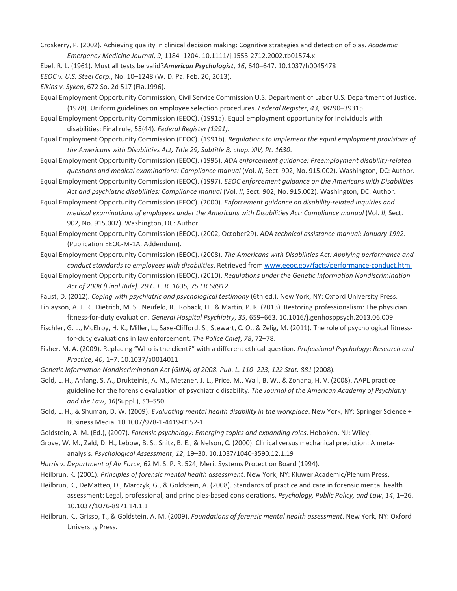Croskerry, P. (2002). Achieving quality in clinical decision making: Cognitive strategies and detection of bias. *Academic Emergency Medicine Journal*, *9*, 1184–1204. 10.1111/j.1553-2712.2002.tb01574.x

- Ebel, R. L. (1961). Must all tests be valid?*American Psychologist*, *16*, 640–647. 10.1037/h0045478
- *EEOC v. U.S. Steel Corp.*, No. 10–1248 (W. D. Pa. Feb. 20, 2013).
- *Elkins v. Syken*, 672 So. 2d 517 (Fla.1996).
- Equal Employment Opportunity Commission, Civil Service Commission U.S. Department of Labor U.S. Department of Justice. (1978). Uniform guidelines on employee selection procedures. *Federal Register*, *43*, 38290–39315.
- Equal Employment Opportunity Commission (EEOC). (1991a). Equal employment opportunity for individuals with disabilities: Final rule, 55(44). *Federal Register (1991)*.
- Equal Employment Opportunity Commission (EEOC). (1991b). *Regulations to implement the equal employment provisions of the Americans with Disabilities Act, Title 29, Subtitle B, chap. XIV, Pt. 1630*.
- Equal Employment Opportunity Commission (EEOC). (1995). *ADA enforcement guidance: Preemployment disability-related questions and medical examinations: Compliance manual* (Vol. *II*, Sect. 902, No. 915.002). Washington, DC: Author.
- Equal Employment Opportunity Commission (EEOC). (1997). *EEOC enforcement guidance on the Americans with Disabilities Act and psychiatric disabilities: Compliance manual* (Vol. *II*, Sect. 902, No. 915.002). Washington, DC: Author.
- Equal Employment Opportunity Commission (EEOC). (2000). *Enforcement guidance on disability-related inquiries and medical examinations of employees under the Americans with Disabilities Act: Compliance manual* (Vol. *II*, Sect. 902, No. 915.002). Washington, DC: Author.
- Equal Employment Opportunity Commission (EEOC). (2002, October29). *ADA technical assistance manual: January 1992*. (Publication EEOC-M-1A, Addendum).
- Equal Employment Opportunity Commission (EEOC). (2008). *The Americans with Disabilities Act: Applying performance and conduct standards to employees with disabilities*. Retrieved from [www.eeoc.gov/facts/performance-conduct.html](http://www.eeoc.gov/facts/performance-conduct.html)
- Equal Employment Opportunity Commission (EEOC). (2010). *Regulations under the Genetic Information Nondiscrimination Act of 2008 (Final Rule). 29 C. F. R. 1635, 75 FR 68912*.
- Faust, D. (2012). *Coping with psychiatric and psychological testimony* (6th ed.). New York, NY: Oxford University Press.
- Finlayson, A. J. R., Dietrich, M. S., Neufeld, R., Roback, H., & Martin, P. R. (2013). Restoring professionalism: The physician fitness-for-duty evaluation. *General Hospital Psychiatry*, *35*, 659–663. 10.1016/j.genhosppsych.2013.06.009
- Fischler, G. L., McElroy, H. K., Miller, L., Saxe-Clifford, S., Stewart, C. O., & Zelig, M. (2011). The role of psychological fitnessfor-duty evaluations in law enforcement. *The Police Chief*, *78*, 72–78.
- Fisher, M. A. (2009). Replacing "Who is the client?" with a different ethical question. *Professional Psychology: Research and Practice*, *40*, 1–7. 10.1037/a0014011
- *Genetic Information Nondiscrimination Act (GINA) of 2008. Pub. L. 110–223, 122 Stat. 881* (2008).
- Gold, L. H., Anfang, S. A., Drukteinis, A. M., Metzner, J. L., Price, M., Wall, B. W., & Zonana, H. V. (2008). AAPL practice guideline for the forensic evaluation of psychiatric disability. *The Journal of the American Academy of Psychiatry and the Law*, *36*(Suppl.), S3–S50.
- Gold, L. H., & Shuman, D. W. (2009). *Evaluating mental health disability in the workplace*. New York, NY: Springer Science + Business Media. 10.1007/978-1-4419-0152-1
- Goldstein, A. M. (Ed.), (2007). *Forensic psychology: Emerging topics and expanding roles*. Hoboken, NJ: Wiley.
- Grove, W. M., Zald, D. H., Lebow, B. S., Snitz, B. E., & Nelson, C. (2000). Clinical versus mechanical prediction: A metaanalysis. *Psychological Assessment*, *12*, 19–30. 10.1037/1040-3590.12.1.19
- *Harris v. Department of Air Force*, 62 M. S. P. R. 524, Merit Systems Protection Board (1994).
- Heilbrun, K. (2001). *Principles of forensic mental health assessment*. New York, NY: Kluwer Academic/Plenum Press.
- Heilbrun, K., DeMatteo, D., Marczyk, G., & Goldstein, A. (2008). Standards of practice and care in forensic mental health assessment: Legal, professional, and principles-based considerations. *Psychology, Public Policy, and Law*, *14*, 1–26. 10.1037/1076-8971.14.1.1
- Heilbrun, K., Grisso, T., & Goldstein, A. M. (2009). *Foundations of forensic mental health assessment*. New York, NY: Oxford University Press.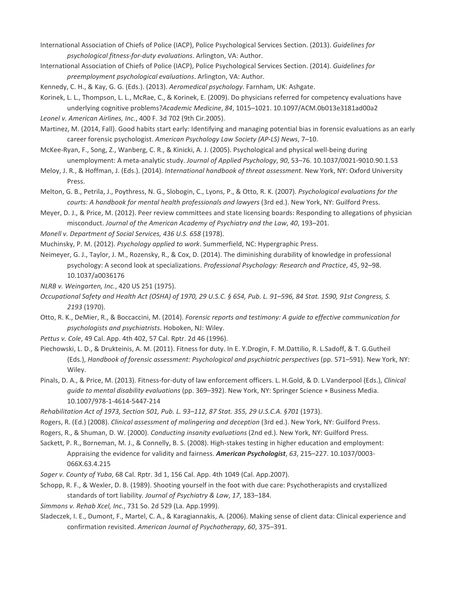International Association of Chiefs of Police (IACP), Police Psychological Services Section. (2013). *Guidelines for psychological fitness-for-duty evaluations*. Arlington, VA: Author.

International Association of Chiefs of Police (IACP), Police Psychological Services Section. (2014). *Guidelines for preemployment psychological evaluations*. Arlington, VA: Author.

Kennedy, C. H., & Kay, G. G. (Eds.). (2013). *Aeromedical psychology*. Farnham, UK: Ashgate.

Korinek, L. L., Thompson, L. L., McRae, C., & Korinek, E. (2009). Do physicians referred for competency evaluations have underlying cognitive problems?*Academic Medicine*, *84*, 1015–1021. 10.1097/ACM.0b013e3181ad00a2

*Leonel v. American Airlines, Inc.*, 400 F. 3d 702 (9th Cir.2005).

Martinez, M. (2014, Fall). Good habits start early: Identifying and managing potential bias in forensic evaluations as an early career forensic psychologist. *American Psychology Law Society (AP-LS) News*, 7–10.

McKee-Ryan, F., Song, Z., Wanberg, C. R., & Kinicki, A. J. (2005). Psychological and physical well-being during unemployment: A meta-analytic study. *Journal of Applied Psychology*, *90*, 53–76. 10.1037/0021-9010.90.1.53

- Meloy, J. R., & Hoffman, J. (Eds.). (2014). *International handbook of threat assessment*. New York, NY: Oxford University Press.
- Melton, G. B., Petrila, J., Poythress, N. G., Slobogin, C., Lyons, P., & Otto, R. K. (2007). *Psychological evaluations for the courts: A handbook for mental health professionals and lawyers* (3rd ed.). New York, NY: Guilford Press.

Meyer, D. J., & Price, M. (2012). Peer review committees and state licensing boards: Responding to allegations of physician misconduct. *Journal of the American Academy of Psychiatry and the Law*, *40*, 193–201.

*Monell v. Department of Social Services, 436 U.S. 658* (1978).

Muchinsky, P. M. (2012). *Psychology applied to work*. Summerfield, NC: Hypergraphic Press.

Neimeyer, G. J., Taylor, J. M., Rozensky, R., & Cox, D. (2014). The diminishing durability of knowledge in professional psychology: A second look at specializations. *Professional Psychology: Research and Practice*, *45*, 92–98. 10.1037/a0036176

- *NLRB v. Weingarten, Inc.*, 420 US 251 (1975).
- Occupational Safety and Health Act (OSHA) of 1970, 29 U.S.C. § 654, Pub. L. 91-596, 84 Stat. 1590, 91st Congress, S. *2193* (1970).

Otto, R. K., DeMier, R., & Boccaccini, M. (2014). *Forensic reports and testimony: A guide to effective communication for psychologists and psychiatrists*. Hoboken, NJ: Wiley.

*Pettus v. Cole*, 49 Cal. App. 4th 402, 57 Cal. Rptr. 2d 46 (1996).

Piechowski, L. D., & Drukteinis, A. M. (2011). Fitness for duty. In E. Y.Drogin, F. M.Dattilio, R. L.Sadoff, & T. G.Gutheil (Eds.), *Handbook of forensic assessment: Psychological and psychiatric perspectives* (pp. 571–591). New York, NY: Wiley.

- Pinals, D. A., & Price, M. (2013). Fitness-for-duty of law enforcement officers. L. H.Gold, & D. L.Vanderpool (Eds.), *Clinical guide to mental disability evaluations* (pp. 369–392). New York, NY: Springer Science + Business Media. 10.1007/978-1-4614-5447-214
- *Rehabilitation Act of 1973, Section 501, Pub. L. 93–112, 87 Stat. 355, 29 U.S.C.A. §701* (1973).
- Rogers, R. (Ed.) (2008). *Clinical assessment of malingering and deception* (3rd ed.). New York, NY: Guilford Press.
- Rogers, R., & Shuman, D. W. (2000). *Conducting insanity evaluations* (2nd ed.). New York, NY: Guilford Press.

Sackett, P. R., Borneman, M. J., & Connelly, B. S. (2008). High-stakes testing in higher education and employment: Appraising the evidence for validity and fairness. *American Psychologist*, *63*, 215–227. 10.1037/0003- 066X.63.4.215

*Sager v. County of Yuba*, 68 Cal. Rptr. 3d 1, 156 Cal. App. 4th 1049 (Cal. App.2007).

Schopp, R. F., & Wexler, D. B. (1989). Shooting yourself in the foot with due care: Psychotherapists and crystallized standards of tort liability. *Journal of Psychiatry & Law*, *17*, 183–184.

*Simmons v. Rehab Xcel, Inc.*, 731 So. 2d 529 (La. App.1999).

Sladeczek, I. E., Dumont, F., Martel, C. A., & Karagiannakis, A. (2006). Making sense of client data: Clinical experience and confirmation revisited. *American Journal of Psychotherapy*, *60*, 375–391.